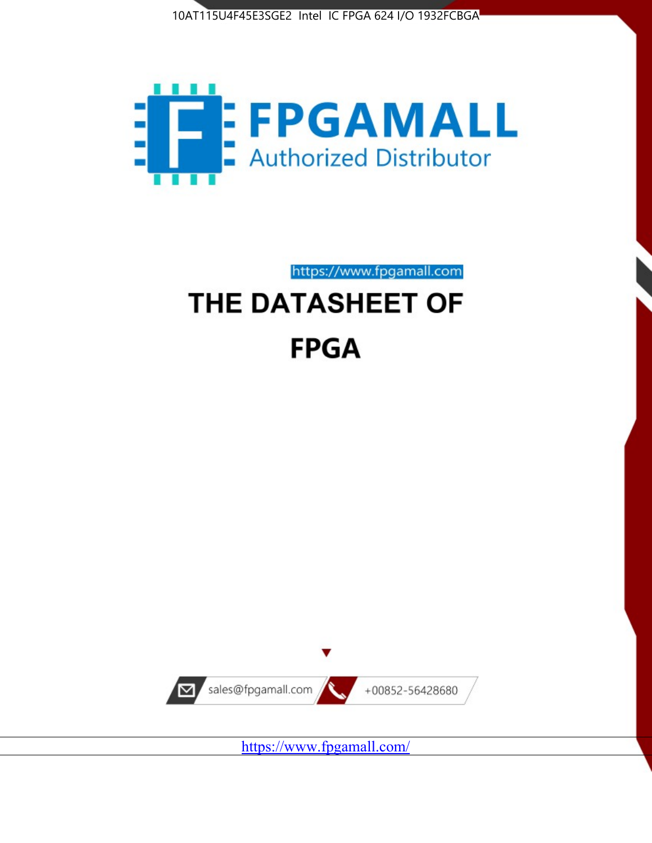



https://www.fpgamall.com

# THE DATASHEET OF **FPGA**



<https://www.fpgamall.com/>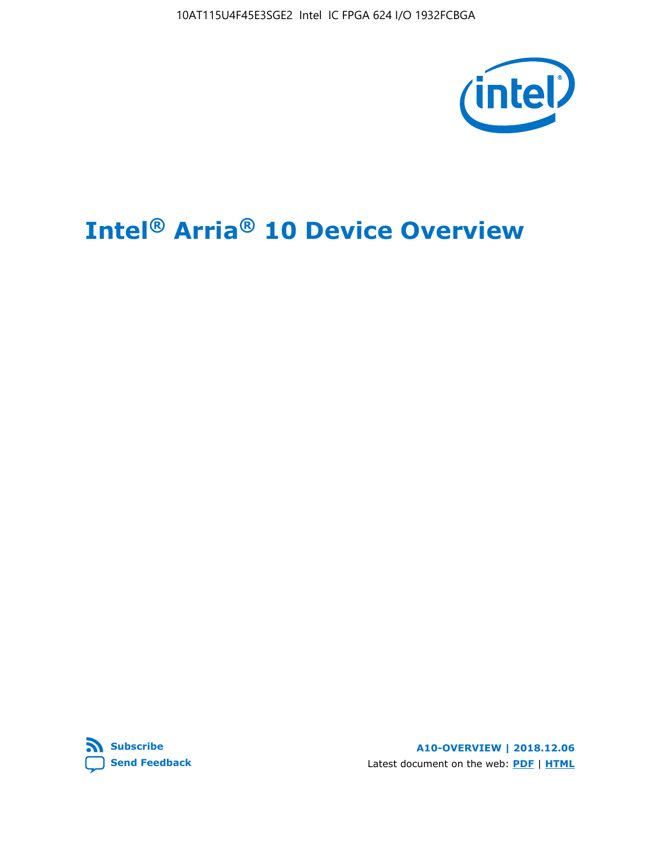10AT115U4F45E3SGE2 Intel IC FPGA 624 I/O 1932FCBGA



# **Intel® Arria® 10 Device Overview**



**A10-OVERVIEW | 2018.12.06** Latest document on the web: **[PDF](https://www.intel.com/content/dam/www/programmable/us/en/pdfs/literature/hb/arria-10/a10_overview.pdf)** | **[HTML](https://www.intel.com/content/www/us/en/programmable/documentation/sam1403480274650.html)**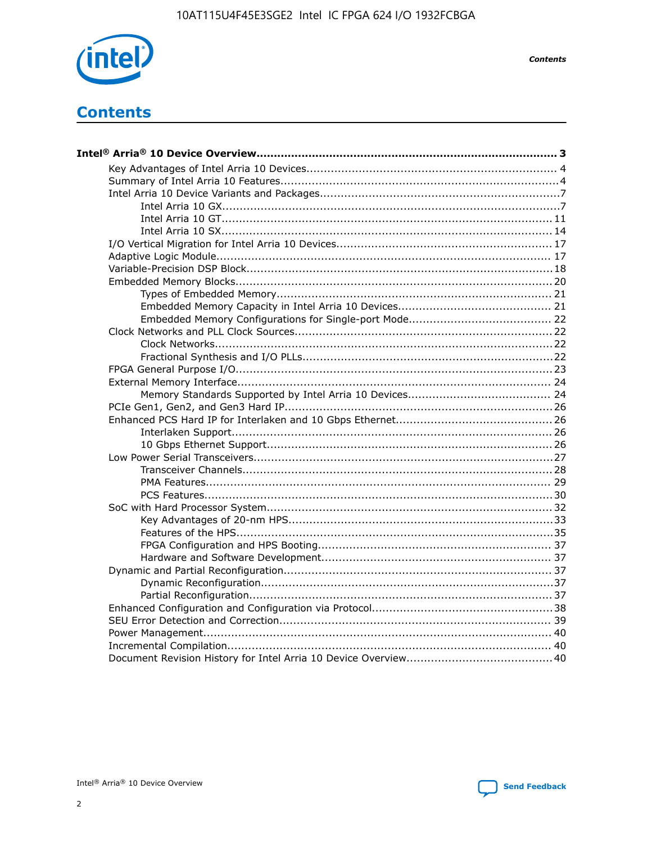

**Contents** 

# **Contents**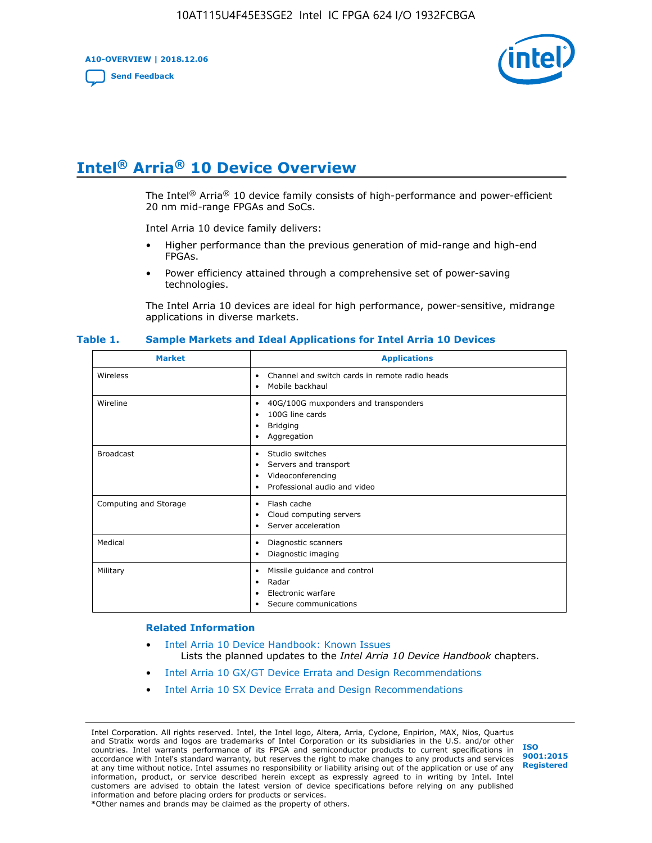**A10-OVERVIEW | 2018.12.06**

**[Send Feedback](mailto:FPGAtechdocfeedback@intel.com?subject=Feedback%20on%20Intel%20Arria%2010%20Device%20Overview%20(A10-OVERVIEW%202018.12.06)&body=We%20appreciate%20your%20feedback.%20In%20your%20comments,%20also%20specify%20the%20page%20number%20or%20paragraph.%20Thank%20you.)**



# **Intel® Arria® 10 Device Overview**

The Intel<sup>®</sup> Arria<sup>®</sup> 10 device family consists of high-performance and power-efficient 20 nm mid-range FPGAs and SoCs.

Intel Arria 10 device family delivers:

- Higher performance than the previous generation of mid-range and high-end FPGAs.
- Power efficiency attained through a comprehensive set of power-saving technologies.

The Intel Arria 10 devices are ideal for high performance, power-sensitive, midrange applications in diverse markets.

| <b>Market</b>         | <b>Applications</b>                                                                                                   |
|-----------------------|-----------------------------------------------------------------------------------------------------------------------|
| Wireless              | Channel and switch cards in remote radio heads<br>٠<br>Mobile backhaul<br>٠                                           |
| Wireline              | 40G/100G muxponders and transponders<br>٠<br>100G line cards<br>٠<br><b>Bridging</b><br>٠<br>Aggregation<br>$\bullet$ |
| <b>Broadcast</b>      | Studio switches<br>٠<br>Servers and transport<br>٠<br>Videoconferencing<br>٠<br>Professional audio and video<br>٠     |
| Computing and Storage | Flash cache<br>٠<br>Cloud computing servers<br>٠<br>Server acceleration<br>٠                                          |
| Medical               | Diagnostic scanners<br>٠<br>Diagnostic imaging<br>٠                                                                   |
| Military              | Missile guidance and control<br>٠<br>Radar<br>٠<br>Electronic warfare<br>٠<br>Secure communications<br>٠              |

#### **Table 1. Sample Markets and Ideal Applications for Intel Arria 10 Devices**

#### **Related Information**

- [Intel Arria 10 Device Handbook: Known Issues](http://www.altera.com/support/kdb/solutions/rd07302013_646.html) Lists the planned updates to the *Intel Arria 10 Device Handbook* chapters.
- [Intel Arria 10 GX/GT Device Errata and Design Recommendations](https://www.intel.com/content/www/us/en/programmable/documentation/agz1493851706374.html#yqz1494433888646)
- [Intel Arria 10 SX Device Errata and Design Recommendations](https://www.intel.com/content/www/us/en/programmable/documentation/cru1462832385668.html#cru1462832558642)

Intel Corporation. All rights reserved. Intel, the Intel logo, Altera, Arria, Cyclone, Enpirion, MAX, Nios, Quartus and Stratix words and logos are trademarks of Intel Corporation or its subsidiaries in the U.S. and/or other countries. Intel warrants performance of its FPGA and semiconductor products to current specifications in accordance with Intel's standard warranty, but reserves the right to make changes to any products and services at any time without notice. Intel assumes no responsibility or liability arising out of the application or use of any information, product, or service described herein except as expressly agreed to in writing by Intel. Intel customers are advised to obtain the latest version of device specifications before relying on any published information and before placing orders for products or services. \*Other names and brands may be claimed as the property of others.

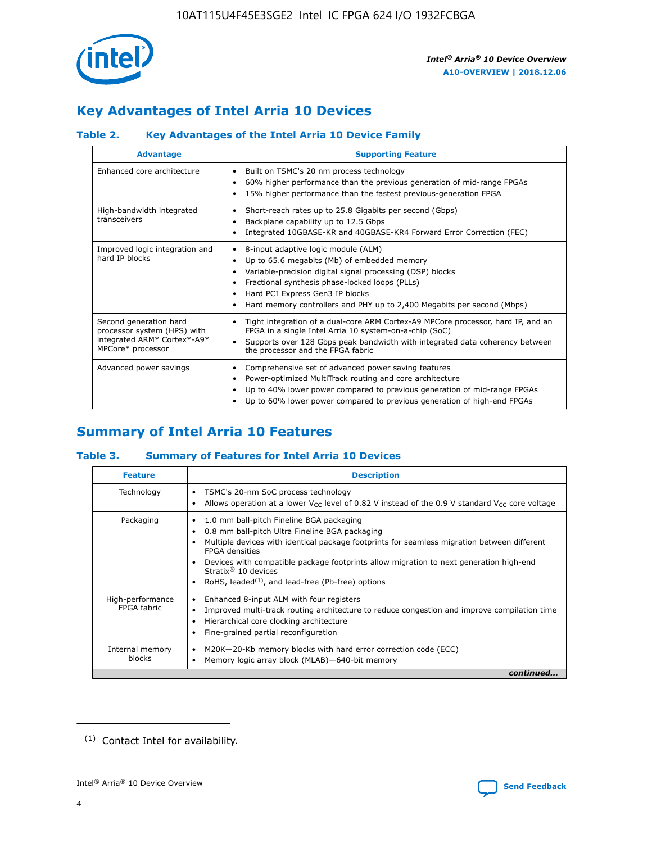

# **Key Advantages of Intel Arria 10 Devices**

## **Table 2. Key Advantages of the Intel Arria 10 Device Family**

| <b>Advantage</b>                                                                                          | <b>Supporting Feature</b>                                                                                                                                                                                                                                                                                                |  |  |  |  |  |
|-----------------------------------------------------------------------------------------------------------|--------------------------------------------------------------------------------------------------------------------------------------------------------------------------------------------------------------------------------------------------------------------------------------------------------------------------|--|--|--|--|--|
| Enhanced core architecture                                                                                | Built on TSMC's 20 nm process technology<br>٠<br>60% higher performance than the previous generation of mid-range FPGAs<br>٠<br>15% higher performance than the fastest previous-generation FPGA<br>٠                                                                                                                    |  |  |  |  |  |
| High-bandwidth integrated<br>transceivers                                                                 | Short-reach rates up to 25.8 Gigabits per second (Gbps)<br>٠<br>Backplane capability up to 12.5 Gbps<br>٠<br>Integrated 10GBASE-KR and 40GBASE-KR4 Forward Error Correction (FEC)<br>٠                                                                                                                                   |  |  |  |  |  |
| Improved logic integration and<br>hard IP blocks                                                          | 8-input adaptive logic module (ALM)<br>٠<br>Up to 65.6 megabits (Mb) of embedded memory<br>٠<br>Variable-precision digital signal processing (DSP) blocks<br>Fractional synthesis phase-locked loops (PLLs)<br>Hard PCI Express Gen3 IP blocks<br>Hard memory controllers and PHY up to 2,400 Megabits per second (Mbps) |  |  |  |  |  |
| Second generation hard<br>processor system (HPS) with<br>integrated ARM* Cortex*-A9*<br>MPCore* processor | Tight integration of a dual-core ARM Cortex-A9 MPCore processor, hard IP, and an<br>٠<br>FPGA in a single Intel Arria 10 system-on-a-chip (SoC)<br>Supports over 128 Gbps peak bandwidth with integrated data coherency between<br>$\bullet$<br>the processor and the FPGA fabric                                        |  |  |  |  |  |
| Advanced power savings                                                                                    | Comprehensive set of advanced power saving features<br>٠<br>Power-optimized MultiTrack routing and core architecture<br>٠<br>Up to 40% lower power compared to previous generation of mid-range FPGAs<br>٠<br>Up to 60% lower power compared to previous generation of high-end FPGAs                                    |  |  |  |  |  |

# **Summary of Intel Arria 10 Features**

## **Table 3. Summary of Features for Intel Arria 10 Devices**

| <b>Feature</b>                  | <b>Description</b>                                                                                                                                                                                                                                                                                                                                                                                           |
|---------------------------------|--------------------------------------------------------------------------------------------------------------------------------------------------------------------------------------------------------------------------------------------------------------------------------------------------------------------------------------------------------------------------------------------------------------|
| Technology                      | TSMC's 20-nm SoC process technology<br>Allows operation at a lower $V_{\text{CC}}$ level of 0.82 V instead of the 0.9 V standard $V_{\text{CC}}$ core voltage                                                                                                                                                                                                                                                |
| Packaging                       | 1.0 mm ball-pitch Fineline BGA packaging<br>٠<br>0.8 mm ball-pitch Ultra Fineline BGA packaging<br>Multiple devices with identical package footprints for seamless migration between different<br><b>FPGA</b> densities<br>Devices with compatible package footprints allow migration to next generation high-end<br>Stratix <sup>®</sup> 10 devices<br>RoHS, leaded $(1)$ , and lead-free (Pb-free) options |
| High-performance<br>FPGA fabric | Enhanced 8-input ALM with four registers<br>Improved multi-track routing architecture to reduce congestion and improve compilation time<br>Hierarchical core clocking architecture<br>Fine-grained partial reconfiguration                                                                                                                                                                                   |
| Internal memory<br>blocks       | M20K-20-Kb memory blocks with hard error correction code (ECC)<br>Memory logic array block (MLAB)-640-bit memory                                                                                                                                                                                                                                                                                             |
|                                 | continued                                                                                                                                                                                                                                                                                                                                                                                                    |



<sup>(1)</sup> Contact Intel for availability.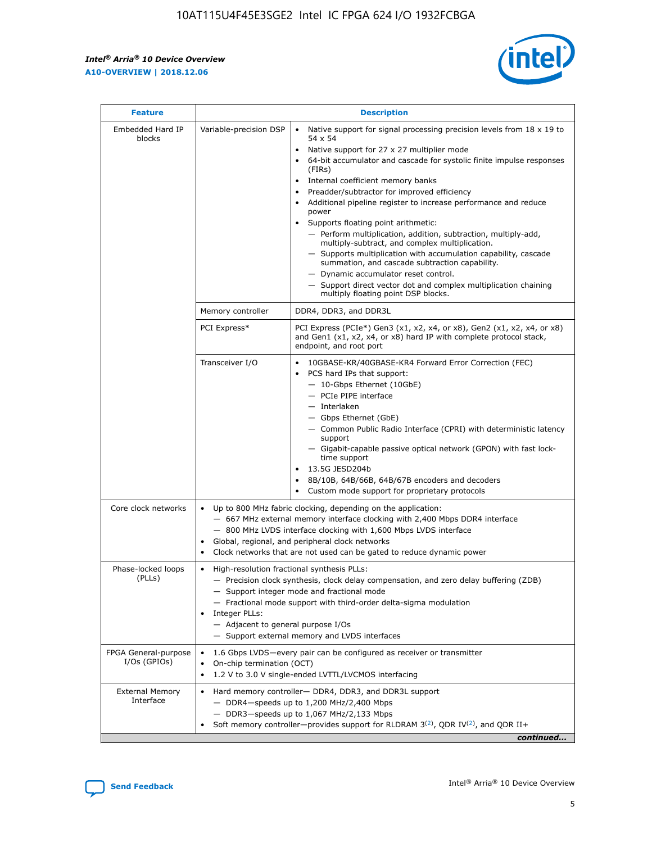$\mathsf{r}$ 



| <b>Feature</b>                         |                                                                                                                                                                                                                                                                                                                      | <b>Description</b>                                                                                                                                                                                                                                                                                                                                                                                                                                                                                                                                                                                                                                                                                                                                                                                                                     |  |  |  |  |
|----------------------------------------|----------------------------------------------------------------------------------------------------------------------------------------------------------------------------------------------------------------------------------------------------------------------------------------------------------------------|----------------------------------------------------------------------------------------------------------------------------------------------------------------------------------------------------------------------------------------------------------------------------------------------------------------------------------------------------------------------------------------------------------------------------------------------------------------------------------------------------------------------------------------------------------------------------------------------------------------------------------------------------------------------------------------------------------------------------------------------------------------------------------------------------------------------------------------|--|--|--|--|
| Embedded Hard IP<br>blocks             | Variable-precision DSP                                                                                                                                                                                                                                                                                               | Native support for signal processing precision levels from $18 \times 19$ to<br>54 x 54<br>Native support for 27 x 27 multiplier mode<br>64-bit accumulator and cascade for systolic finite impulse responses<br>(FIRs)<br>Internal coefficient memory banks<br>$\bullet$<br>Preadder/subtractor for improved efficiency<br>Additional pipeline register to increase performance and reduce<br>power<br>Supports floating point arithmetic:<br>- Perform multiplication, addition, subtraction, multiply-add,<br>multiply-subtract, and complex multiplication.<br>- Supports multiplication with accumulation capability, cascade<br>summation, and cascade subtraction capability.<br>- Dynamic accumulator reset control.<br>- Support direct vector dot and complex multiplication chaining<br>multiply floating point DSP blocks. |  |  |  |  |
|                                        | Memory controller                                                                                                                                                                                                                                                                                                    | DDR4, DDR3, and DDR3L                                                                                                                                                                                                                                                                                                                                                                                                                                                                                                                                                                                                                                                                                                                                                                                                                  |  |  |  |  |
|                                        | PCI Express*                                                                                                                                                                                                                                                                                                         | PCI Express (PCIe*) Gen3 (x1, x2, x4, or x8), Gen2 (x1, x2, x4, or x8)<br>and Gen1 (x1, x2, x4, or x8) hard IP with complete protocol stack,<br>endpoint, and root port                                                                                                                                                                                                                                                                                                                                                                                                                                                                                                                                                                                                                                                                |  |  |  |  |
|                                        | Transceiver I/O                                                                                                                                                                                                                                                                                                      | 10GBASE-KR/40GBASE-KR4 Forward Error Correction (FEC)<br>PCS hard IPs that support:<br>$\bullet$<br>- 10-Gbps Ethernet (10GbE)<br>- PCIe PIPE interface<br>$-$ Interlaken<br>- Gbps Ethernet (GbE)<br>- Common Public Radio Interface (CPRI) with deterministic latency<br>support<br>- Gigabit-capable passive optical network (GPON) with fast lock-<br>time support<br>13.5G JESD204b<br>$\bullet$<br>8B/10B, 64B/66B, 64B/67B encoders and decoders<br>Custom mode support for proprietary protocols                                                                                                                                                                                                                                                                                                                               |  |  |  |  |
| Core clock networks                    | $\bullet$<br>$\bullet$                                                                                                                                                                                                                                                                                               | Up to 800 MHz fabric clocking, depending on the application:<br>- 667 MHz external memory interface clocking with 2,400 Mbps DDR4 interface<br>- 800 MHz LVDS interface clocking with 1,600 Mbps LVDS interface<br>Global, regional, and peripheral clock networks<br>Clock networks that are not used can be gated to reduce dynamic power                                                                                                                                                                                                                                                                                                                                                                                                                                                                                            |  |  |  |  |
| Phase-locked loops<br>(PLLs)           | High-resolution fractional synthesis PLLs:<br>$\bullet$<br>Integer PLLs:<br>- Adjacent to general purpose I/Os                                                                                                                                                                                                       | - Precision clock synthesis, clock delay compensation, and zero delay buffering (ZDB)<br>- Support integer mode and fractional mode<br>- Fractional mode support with third-order delta-sigma modulation<br>- Support external memory and LVDS interfaces                                                                                                                                                                                                                                                                                                                                                                                                                                                                                                                                                                              |  |  |  |  |
| FPGA General-purpose<br>$I/Os$ (GPIOs) | On-chip termination (OCT)                                                                                                                                                                                                                                                                                            | 1.6 Gbps LVDS-every pair can be configured as receiver or transmitter                                                                                                                                                                                                                                                                                                                                                                                                                                                                                                                                                                                                                                                                                                                                                                  |  |  |  |  |
| <b>External Memory</b><br>Interface    | 1.2 V to 3.0 V single-ended LVTTL/LVCMOS interfacing<br>Hard memory controller- DDR4, DDR3, and DDR3L support<br>$-$ DDR4-speeds up to 1,200 MHz/2,400 Mbps<br>- DDR3-speeds up to 1,067 MHz/2,133 Mbps<br>Soft memory controller—provides support for RLDRAM $3^{(2)}$ , QDR IV $^{(2)}$ , and QDR II+<br>continued |                                                                                                                                                                                                                                                                                                                                                                                                                                                                                                                                                                                                                                                                                                                                                                                                                                        |  |  |  |  |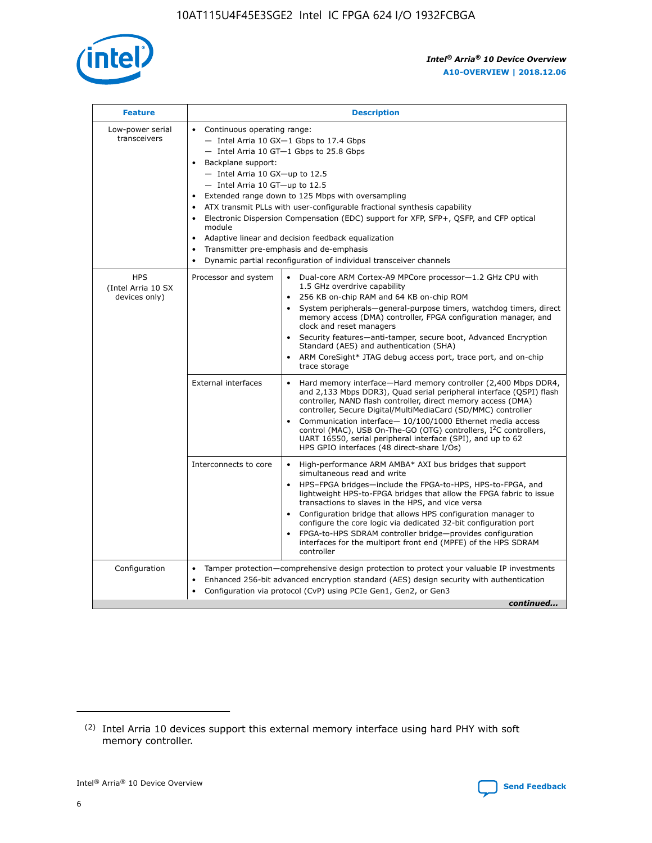

| <b>Feature</b>                                    | <b>Description</b>                                                                                                                                                                                                                                                                                                                                                                                                                                                                                                                                                                                                                           |  |  |  |  |  |  |  |
|---------------------------------------------------|----------------------------------------------------------------------------------------------------------------------------------------------------------------------------------------------------------------------------------------------------------------------------------------------------------------------------------------------------------------------------------------------------------------------------------------------------------------------------------------------------------------------------------------------------------------------------------------------------------------------------------------------|--|--|--|--|--|--|--|
| Low-power serial<br>transceivers                  | • Continuous operating range:<br>- Intel Arria 10 GX-1 Gbps to 17.4 Gbps<br>- Intel Arria 10 GT-1 Gbps to 25.8 Gbps<br>Backplane support:<br>$-$ Intel Arria 10 GX-up to 12.5<br>$-$ Intel Arria 10 GT-up to 12.5<br>Extended range down to 125 Mbps with oversampling<br>ATX transmit PLLs with user-configurable fractional synthesis capability<br>Electronic Dispersion Compensation (EDC) support for XFP, SFP+, QSFP, and CFP optical<br>module<br>• Adaptive linear and decision feedback equalization<br>Transmitter pre-emphasis and de-emphasis<br>$\bullet$<br>Dynamic partial reconfiguration of individual transceiver channels |  |  |  |  |  |  |  |
| <b>HPS</b><br>(Intel Arria 10 SX<br>devices only) | Dual-core ARM Cortex-A9 MPCore processor-1.2 GHz CPU with<br>Processor and system<br>$\bullet$<br>1.5 GHz overdrive capability<br>256 KB on-chip RAM and 64 KB on-chip ROM<br>System peripherals-general-purpose timers, watchdog timers, direct<br>memory access (DMA) controller, FPGA configuration manager, and<br>clock and reset managers<br>Security features-anti-tamper, secure boot, Advanced Encryption<br>$\bullet$<br>Standard (AES) and authentication (SHA)<br>ARM CoreSight* JTAG debug access port, trace port, and on-chip<br>trace storage                                                                                |  |  |  |  |  |  |  |
|                                                   | <b>External interfaces</b><br>Hard memory interface-Hard memory controller (2,400 Mbps DDR4,<br>$\bullet$<br>and 2,133 Mbps DDR3), Quad serial peripheral interface (QSPI) flash<br>controller, NAND flash controller, direct memory access (DMA)<br>controller, Secure Digital/MultiMediaCard (SD/MMC) controller<br>Communication interface-10/100/1000 Ethernet media access<br>$\bullet$<br>control (MAC), USB On-The-GO (OTG) controllers, I <sup>2</sup> C controllers,<br>UART 16550, serial peripheral interface (SPI), and up to 62<br>HPS GPIO interfaces (48 direct-share I/Os)                                                   |  |  |  |  |  |  |  |
|                                                   | High-performance ARM AMBA* AXI bus bridges that support<br>Interconnects to core<br>$\bullet$<br>simultaneous read and write<br>HPS-FPGA bridges-include the FPGA-to-HPS, HPS-to-FPGA, and<br>$\bullet$<br>lightweight HPS-to-FPGA bridges that allow the FPGA fabric to issue<br>transactions to slaves in the HPS, and vice versa<br>Configuration bridge that allows HPS configuration manager to<br>configure the core logic via dedicated 32-bit configuration port<br>FPGA-to-HPS SDRAM controller bridge-provides configuration<br>interfaces for the multiport front end (MPFE) of the HPS SDRAM<br>controller                       |  |  |  |  |  |  |  |
| Configuration                                     | Tamper protection—comprehensive design protection to protect your valuable IP investments<br>Enhanced 256-bit advanced encryption standard (AES) design security with authentication<br>٠<br>Configuration via protocol (CvP) using PCIe Gen1, Gen2, or Gen3<br>continued                                                                                                                                                                                                                                                                                                                                                                    |  |  |  |  |  |  |  |

<sup>(2)</sup> Intel Arria 10 devices support this external memory interface using hard PHY with soft memory controller.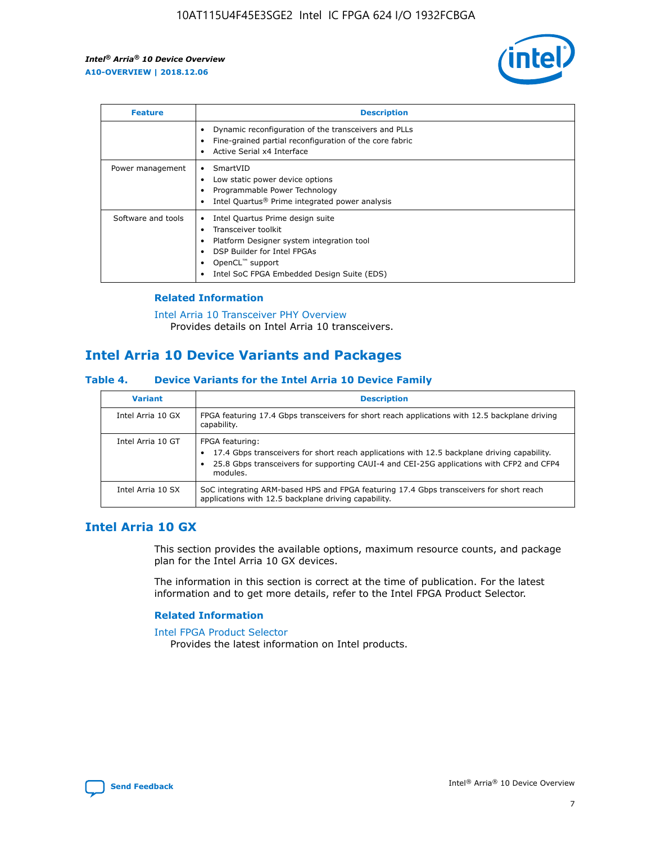

| <b>Feature</b>     | <b>Description</b>                                                                                                                                                                                                    |
|--------------------|-----------------------------------------------------------------------------------------------------------------------------------------------------------------------------------------------------------------------|
|                    | Dynamic reconfiguration of the transceivers and PLLs<br>Fine-grained partial reconfiguration of the core fabric<br>Active Serial x4 Interface                                                                         |
| Power management   | SmartVID<br>Low static power device options<br>Programmable Power Technology<br>Intel Quartus <sup>®</sup> Prime integrated power analysis                                                                            |
| Software and tools | Intel Quartus Prime design suite<br>Transceiver toolkit<br>٠<br>Platform Designer system integration tool<br>DSP Builder for Intel FPGAs<br>OpenCL <sup>™</sup> support<br>Intel SoC FPGA Embedded Design Suite (EDS) |

## **Related Information**

[Intel Arria 10 Transceiver PHY Overview](https://www.intel.com/content/www/us/en/programmable/documentation/nik1398707230472.html#nik1398706768037) Provides details on Intel Arria 10 transceivers.

## **Intel Arria 10 Device Variants and Packages**

#### **Table 4. Device Variants for the Intel Arria 10 Device Family**

| <b>Variant</b>    | <b>Description</b>                                                                                                                                                                                                     |
|-------------------|------------------------------------------------------------------------------------------------------------------------------------------------------------------------------------------------------------------------|
| Intel Arria 10 GX | FPGA featuring 17.4 Gbps transceivers for short reach applications with 12.5 backplane driving<br>capability.                                                                                                          |
| Intel Arria 10 GT | FPGA featuring:<br>17.4 Gbps transceivers for short reach applications with 12.5 backplane driving capability.<br>25.8 Gbps transceivers for supporting CAUI-4 and CEI-25G applications with CFP2 and CFP4<br>modules. |
| Intel Arria 10 SX | SoC integrating ARM-based HPS and FPGA featuring 17.4 Gbps transceivers for short reach<br>applications with 12.5 backplane driving capability.                                                                        |

## **Intel Arria 10 GX**

This section provides the available options, maximum resource counts, and package plan for the Intel Arria 10 GX devices.

The information in this section is correct at the time of publication. For the latest information and to get more details, refer to the Intel FPGA Product Selector.

#### **Related Information**

#### [Intel FPGA Product Selector](http://www.altera.com/products/selector/psg-selector.html) Provides the latest information on Intel products.

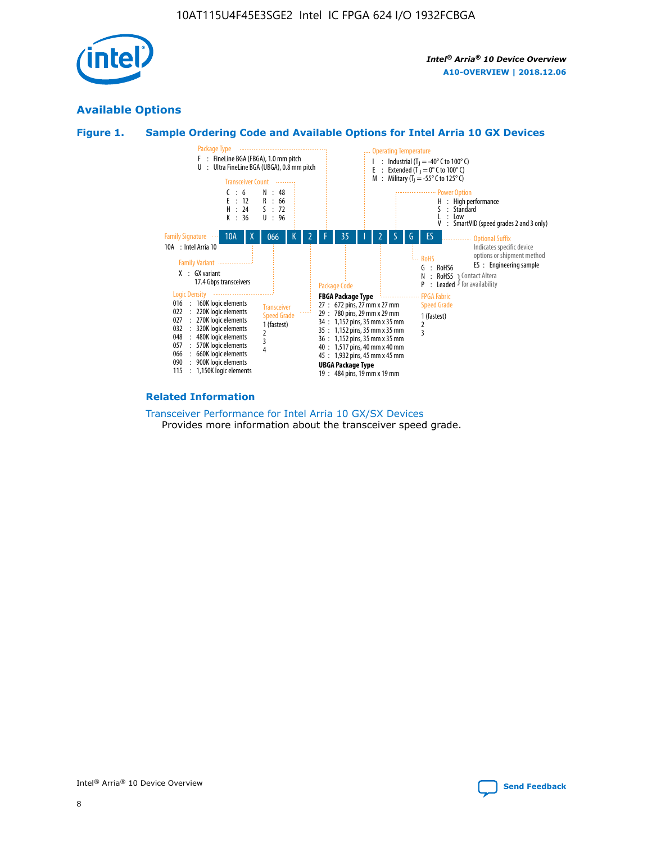

## **Available Options**





#### **Related Information**

[Transceiver Performance for Intel Arria 10 GX/SX Devices](https://www.intel.com/content/www/us/en/programmable/documentation/mcn1413182292568.html#mcn1413213965502) Provides more information about the transceiver speed grade.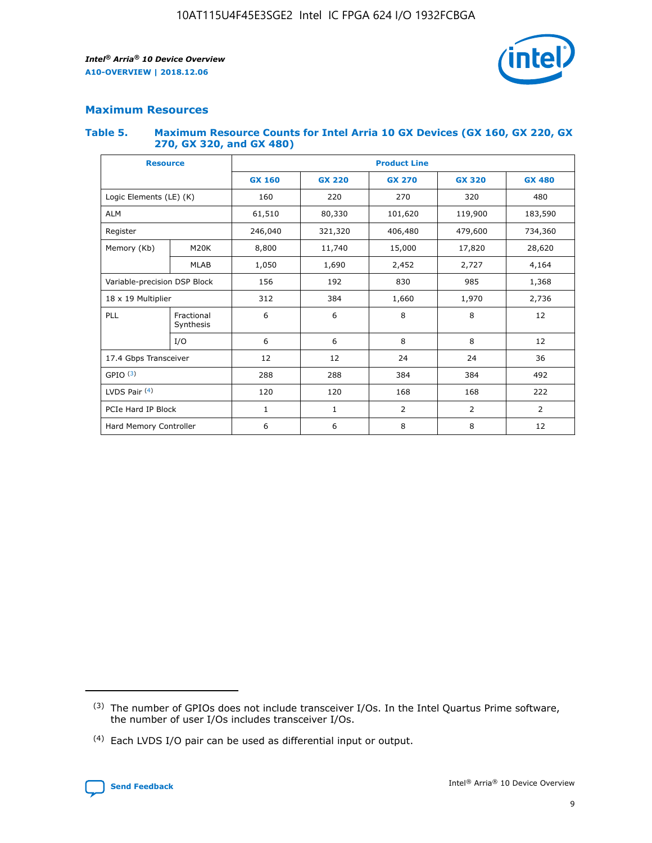

## **Maximum Resources**

#### **Table 5. Maximum Resource Counts for Intel Arria 10 GX Devices (GX 160, GX 220, GX 270, GX 320, and GX 480)**

| <b>Resource</b>              |                         | <b>Product Line</b> |                                                 |                |                |                |  |  |  |
|------------------------------|-------------------------|---------------------|-------------------------------------------------|----------------|----------------|----------------|--|--|--|
|                              |                         | <b>GX 160</b>       | <b>GX 220</b><br><b>GX 270</b><br><b>GX 320</b> |                |                | <b>GX 480</b>  |  |  |  |
| Logic Elements (LE) (K)      |                         | 160                 | 220                                             | 270            | 320            | 480            |  |  |  |
| <b>ALM</b>                   |                         | 61,510              | 80,330                                          | 101,620        | 119,900        | 183,590        |  |  |  |
| Register                     |                         | 246,040             | 406,480<br>479,600<br>321,320                   |                |                | 734,360        |  |  |  |
| Memory (Kb)                  | M <sub>20</sub> K       | 8,800               | 11,740                                          | 15,000         | 17,820         | 28,620         |  |  |  |
|                              | <b>MLAB</b>             | 1,050               | 1,690                                           | 2,452          | 2,727          | 4,164          |  |  |  |
| Variable-precision DSP Block |                         | 156                 | 192                                             | 830            | 985            | 1,368          |  |  |  |
| 18 x 19 Multiplier           |                         | 312                 | 384                                             | 1,970<br>1,660 |                | 2,736          |  |  |  |
| PLL                          | Fractional<br>Synthesis | 6                   | 6                                               | 8              | 8              | 12             |  |  |  |
|                              | I/O                     | 6                   | 6                                               | 8              | 8              | 12             |  |  |  |
| 17.4 Gbps Transceiver        |                         | 12                  | 12                                              | 24             | 24             | 36             |  |  |  |
| GPIO <sup>(3)</sup>          |                         | 288                 | 288                                             | 384            | 384            | 492            |  |  |  |
| LVDS Pair $(4)$              |                         | 120                 | 120                                             | 168            | 168            | 222            |  |  |  |
| PCIe Hard IP Block           |                         | 1                   | 1                                               | 2              | $\overline{2}$ | $\overline{2}$ |  |  |  |
| Hard Memory Controller       |                         | 6                   | 6                                               | 8              | 8              | 12             |  |  |  |

<sup>(4)</sup> Each LVDS I/O pair can be used as differential input or output.



<sup>(3)</sup> The number of GPIOs does not include transceiver I/Os. In the Intel Quartus Prime software, the number of user I/Os includes transceiver I/Os.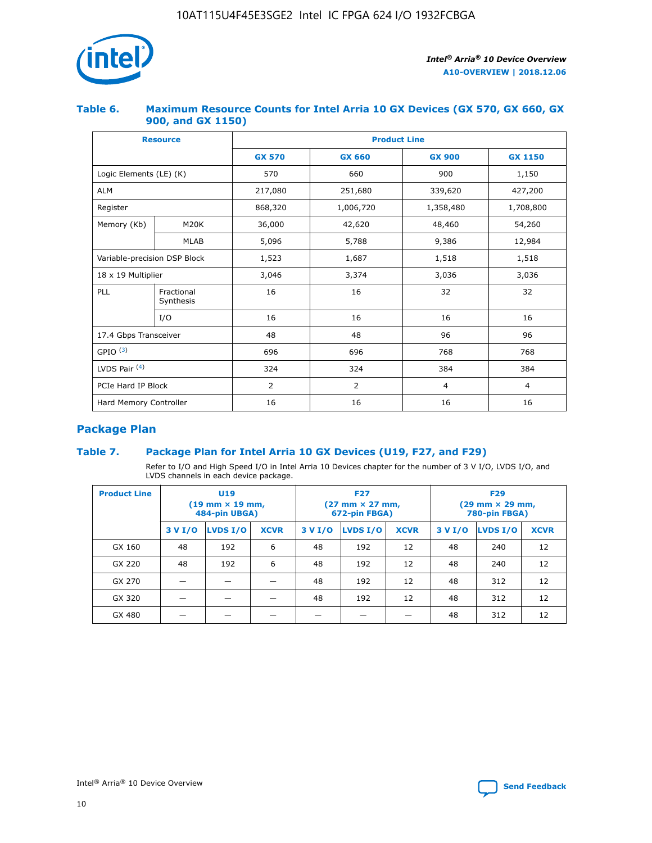

## **Table 6. Maximum Resource Counts for Intel Arria 10 GX Devices (GX 570, GX 660, GX 900, and GX 1150)**

|                              | <b>Resource</b>         | <b>Product Line</b> |                |                |                |  |  |  |
|------------------------------|-------------------------|---------------------|----------------|----------------|----------------|--|--|--|
|                              |                         | <b>GX 570</b>       | <b>GX 660</b>  | <b>GX 900</b>  | <b>GX 1150</b> |  |  |  |
| Logic Elements (LE) (K)      |                         | 570                 | 660            | 900            | 1,150          |  |  |  |
| <b>ALM</b>                   |                         | 217,080             | 251,680        | 339,620        | 427,200        |  |  |  |
| Register                     |                         | 868,320             | 1,006,720      | 1,358,480      | 1,708,800      |  |  |  |
| Memory (Kb)                  | <b>M20K</b>             | 36,000              | 42,620         | 48,460         | 54,260         |  |  |  |
|                              | <b>MLAB</b>             | 5,096               | 5,788          | 9,386          | 12,984         |  |  |  |
| Variable-precision DSP Block |                         | 1,523               | 1,687          | 1,518          | 1,518          |  |  |  |
|                              | 18 x 19 Multiplier      |                     | 3,374          | 3,036          | 3,036          |  |  |  |
| PLL                          | Fractional<br>Synthesis | 16                  | 16             | 32             | 32             |  |  |  |
|                              | I/O                     | 16                  | 16             | 16             | 16             |  |  |  |
| 17.4 Gbps Transceiver        |                         | 48                  | 48<br>96       |                | 96             |  |  |  |
| GPIO <sup>(3)</sup>          |                         | 696                 | 696            | 768            | 768            |  |  |  |
| LVDS Pair $(4)$              |                         | 324                 | 324            | 384            | 384            |  |  |  |
| PCIe Hard IP Block           |                         | 2                   | $\overline{2}$ | $\overline{4}$ | $\overline{4}$ |  |  |  |
| Hard Memory Controller       |                         | 16                  | 16             | 16             | 16             |  |  |  |

## **Package Plan**

## **Table 7. Package Plan for Intel Arria 10 GX Devices (U19, F27, and F29)**

Refer to I/O and High Speed I/O in Intel Arria 10 Devices chapter for the number of 3 V I/O, LVDS I/O, and LVDS channels in each device package.

| <b>Product Line</b> | U <sub>19</sub><br>$(19 \text{ mm} \times 19 \text{ mm})$<br>484-pin UBGA) |          |             |         | <b>F27</b><br>(27 mm × 27 mm,<br>672-pin FBGA) |             | <b>F29</b><br>(29 mm × 29 mm,<br>780-pin FBGA) |          |             |  |
|---------------------|----------------------------------------------------------------------------|----------|-------------|---------|------------------------------------------------|-------------|------------------------------------------------|----------|-------------|--|
|                     | 3 V I/O                                                                    | LVDS I/O | <b>XCVR</b> | 3 V I/O | <b>LVDS I/O</b>                                | <b>XCVR</b> | 3 V I/O                                        | LVDS I/O | <b>XCVR</b> |  |
| GX 160              | 48                                                                         | 192      | 6           | 48      | 192                                            | 12          | 48                                             | 240      | 12          |  |
| GX 220              | 48                                                                         | 192      | 6           | 48      | 192                                            | 12          | 48                                             | 240      | 12          |  |
| GX 270              |                                                                            |          |             | 48      | 192                                            | 12          | 48                                             | 312      | 12          |  |
| GX 320              |                                                                            |          |             | 48      | 192                                            | 12          | 48                                             | 312      | 12          |  |
| GX 480              |                                                                            |          |             |         |                                                |             | 48                                             | 312      | 12          |  |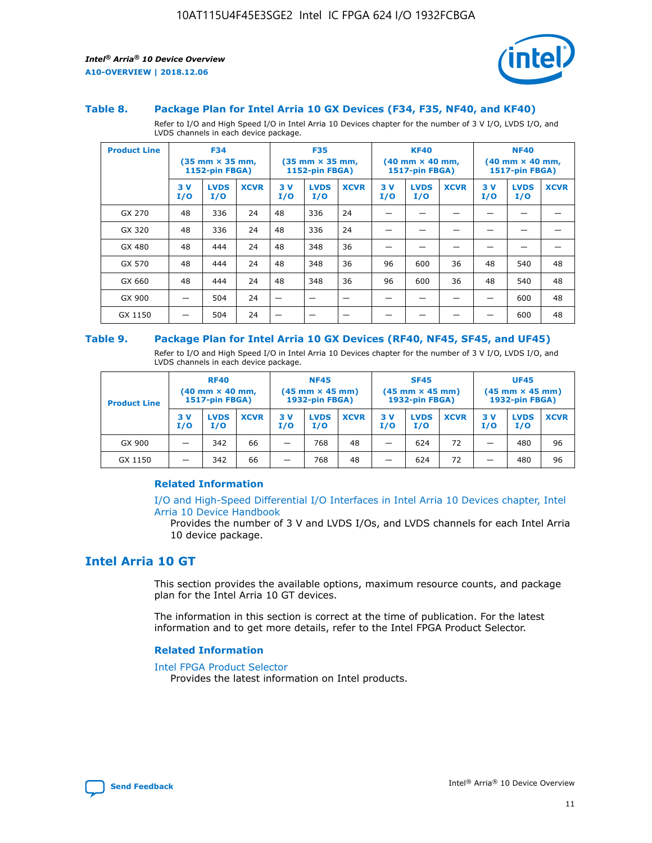

#### **Table 8. Package Plan for Intel Arria 10 GX Devices (F34, F35, NF40, and KF40)**

Refer to I/O and High Speed I/O in Intel Arria 10 Devices chapter for the number of 3 V I/O, LVDS I/O, and LVDS channels in each device package.

| <b>Product Line</b> | <b>F34</b><br>$(35 \text{ mm} \times 35 \text{ mm})$<br><b>1152-pin FBGA)</b> |                    | <b>F35</b><br>$(35 \text{ mm} \times 35 \text{ mm})$<br>1152-pin FBGA) |           | <b>KF40</b><br>$(40$ mm $\times$ 40 mm,<br>1517-pin FBGA) |             |           | <b>NF40</b><br>$(40 \text{ mm} \times 40 \text{ mm})$<br>1517-pin FBGA) |             |           |                    |             |
|---------------------|-------------------------------------------------------------------------------|--------------------|------------------------------------------------------------------------|-----------|-----------------------------------------------------------|-------------|-----------|-------------------------------------------------------------------------|-------------|-----------|--------------------|-------------|
|                     | 3V<br>I/O                                                                     | <b>LVDS</b><br>I/O | <b>XCVR</b>                                                            | 3V<br>I/O | <b>LVDS</b><br>I/O                                        | <b>XCVR</b> | 3V<br>I/O | <b>LVDS</b><br>I/O                                                      | <b>XCVR</b> | 3V<br>I/O | <b>LVDS</b><br>I/O | <b>XCVR</b> |
| GX 270              | 48                                                                            | 336                | 24                                                                     | 48        | 336                                                       | 24          |           |                                                                         |             |           |                    |             |
| GX 320              | 48                                                                            | 336                | 24                                                                     | 48        | 336                                                       | 24          |           |                                                                         |             |           |                    |             |
| GX 480              | 48                                                                            | 444                | 24                                                                     | 48        | 348                                                       | 36          |           |                                                                         |             |           |                    |             |
| GX 570              | 48                                                                            | 444                | 24                                                                     | 48        | 348                                                       | 36          | 96        | 600                                                                     | 36          | 48        | 540                | 48          |
| GX 660              | 48                                                                            | 444                | 24                                                                     | 48        | 348                                                       | 36          | 96        | 600                                                                     | 36          | 48        | 540                | 48          |
| GX 900              |                                                                               | 504                | 24                                                                     | –         |                                                           | -           |           |                                                                         |             |           | 600                | 48          |
| GX 1150             |                                                                               | 504                | 24                                                                     |           |                                                           |             |           |                                                                         |             |           | 600                | 48          |

#### **Table 9. Package Plan for Intel Arria 10 GX Devices (RF40, NF45, SF45, and UF45)**

Refer to I/O and High Speed I/O in Intel Arria 10 Devices chapter for the number of 3 V I/O, LVDS I/O, and LVDS channels in each device package.

| <b>Product Line</b> | <b>RF40</b><br>$(40$ mm $\times$ 40 mm,<br>1517-pin FBGA) |                    |             | <b>NF45</b><br>$(45 \text{ mm} \times 45 \text{ mm})$<br><b>1932-pin FBGA)</b> |                    |             | <b>SF45</b><br>$(45 \text{ mm} \times 45 \text{ mm})$<br><b>1932-pin FBGA)</b> |                    |             | <b>UF45</b><br>$(45 \text{ mm} \times 45 \text{ mm})$<br><b>1932-pin FBGA)</b> |                    |             |
|---------------------|-----------------------------------------------------------|--------------------|-------------|--------------------------------------------------------------------------------|--------------------|-------------|--------------------------------------------------------------------------------|--------------------|-------------|--------------------------------------------------------------------------------|--------------------|-------------|
|                     | 3V<br>I/O                                                 | <b>LVDS</b><br>I/O | <b>XCVR</b> | 3 V<br>I/O                                                                     | <b>LVDS</b><br>I/O | <b>XCVR</b> | 3 V<br>I/O                                                                     | <b>LVDS</b><br>I/O | <b>XCVR</b> | 3V<br>I/O                                                                      | <b>LVDS</b><br>I/O | <b>XCVR</b> |
| GX 900              |                                                           | 342                | 66          | _                                                                              | 768                | 48          |                                                                                | 624                | 72          |                                                                                | 480                | 96          |
| GX 1150             |                                                           | 342                | 66          | _                                                                              | 768                | 48          |                                                                                | 624                | 72          |                                                                                | 480                | 96          |

#### **Related Information**

[I/O and High-Speed Differential I/O Interfaces in Intel Arria 10 Devices chapter, Intel](https://www.intel.com/content/www/us/en/programmable/documentation/sam1403482614086.html#sam1403482030321) [Arria 10 Device Handbook](https://www.intel.com/content/www/us/en/programmable/documentation/sam1403482614086.html#sam1403482030321)

Provides the number of 3 V and LVDS I/Os, and LVDS channels for each Intel Arria 10 device package.

## **Intel Arria 10 GT**

This section provides the available options, maximum resource counts, and package plan for the Intel Arria 10 GT devices.

The information in this section is correct at the time of publication. For the latest information and to get more details, refer to the Intel FPGA Product Selector.

#### **Related Information**

#### [Intel FPGA Product Selector](http://www.altera.com/products/selector/psg-selector.html)

Provides the latest information on Intel products.

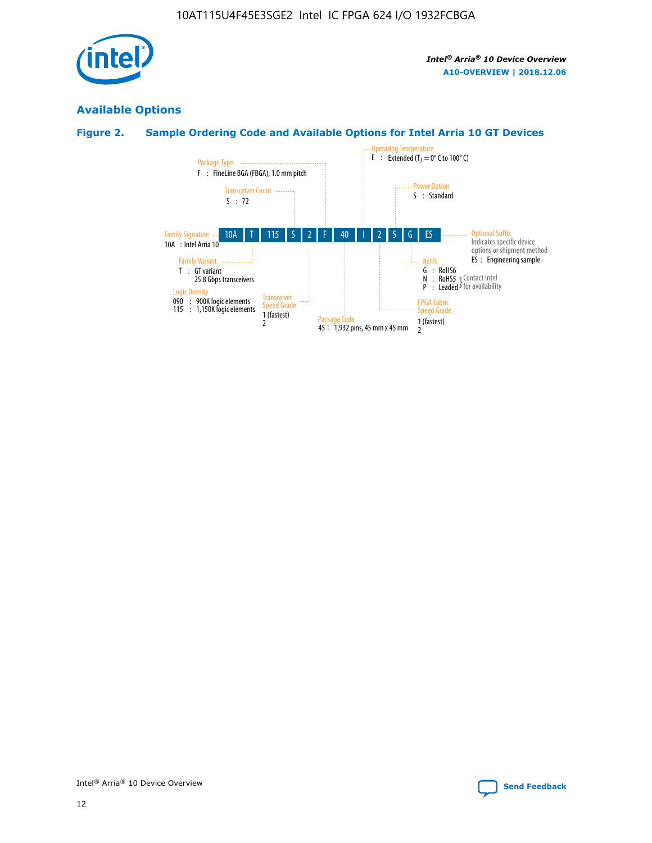

## **Available Options**

## **Figure 2. Sample Ordering Code and Available Options for Intel Arria 10 GT Devices**

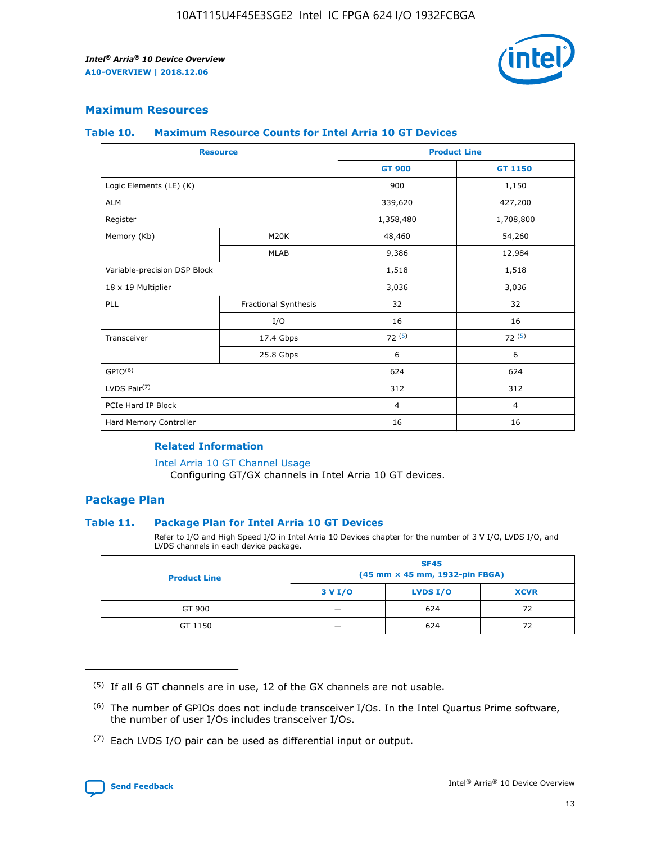

## **Maximum Resources**

#### **Table 10. Maximum Resource Counts for Intel Arria 10 GT Devices**

| <b>Resource</b>              |                      | <b>Product Line</b> |                |  |
|------------------------------|----------------------|---------------------|----------------|--|
|                              |                      | <b>GT 900</b>       | <b>GT 1150</b> |  |
| Logic Elements (LE) (K)      |                      | 900                 | 1,150          |  |
| <b>ALM</b>                   |                      | 339,620             | 427,200        |  |
| Register                     |                      | 1,358,480           | 1,708,800      |  |
| Memory (Kb)                  | M20K                 | 48,460              | 54,260         |  |
|                              | <b>MLAB</b>          | 9,386               | 12,984         |  |
| Variable-precision DSP Block |                      | 1,518               | 1,518          |  |
| 18 x 19 Multiplier           |                      | 3,036               | 3,036          |  |
| PLL                          | Fractional Synthesis | 32                  | 32             |  |
|                              | I/O                  | 16                  | 16             |  |
| Transceiver                  | 17.4 Gbps            | 72(5)               | 72(5)          |  |
|                              | 25.8 Gbps            | 6                   | 6              |  |
| GPIO <sup>(6)</sup>          |                      | 624                 | 624            |  |
| LVDS Pair $(7)$              |                      | 312                 | 312            |  |
| PCIe Hard IP Block           |                      | $\overline{4}$      | $\overline{4}$ |  |
| Hard Memory Controller       |                      | 16                  | 16             |  |

#### **Related Information**

#### [Intel Arria 10 GT Channel Usage](https://www.intel.com/content/www/us/en/programmable/documentation/nik1398707230472.html#nik1398707008178)

Configuring GT/GX channels in Intel Arria 10 GT devices.

## **Package Plan**

#### **Table 11. Package Plan for Intel Arria 10 GT Devices**

Refer to I/O and High Speed I/O in Intel Arria 10 Devices chapter for the number of 3 V I/O, LVDS I/O, and LVDS channels in each device package.

| <b>Product Line</b> | <b>SF45</b><br>(45 mm × 45 mm, 1932-pin FBGA) |                 |             |  |  |  |
|---------------------|-----------------------------------------------|-----------------|-------------|--|--|--|
|                     | 3 V I/O                                       | <b>LVDS I/O</b> | <b>XCVR</b> |  |  |  |
| GT 900              |                                               | 624             | 72          |  |  |  |
| GT 1150             |                                               | 624             | 72          |  |  |  |

<sup>(7)</sup> Each LVDS I/O pair can be used as differential input or output.



 $(5)$  If all 6 GT channels are in use, 12 of the GX channels are not usable.

<sup>(6)</sup> The number of GPIOs does not include transceiver I/Os. In the Intel Quartus Prime software, the number of user I/Os includes transceiver I/Os.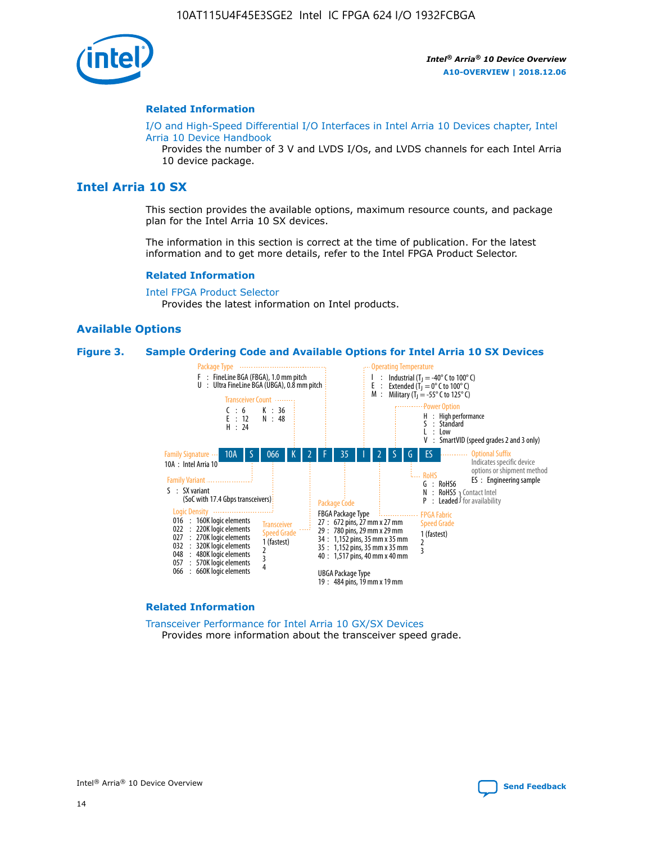

#### **Related Information**

[I/O and High-Speed Differential I/O Interfaces in Intel Arria 10 Devices chapter, Intel](https://www.intel.com/content/www/us/en/programmable/documentation/sam1403482614086.html#sam1403482030321) [Arria 10 Device Handbook](https://www.intel.com/content/www/us/en/programmable/documentation/sam1403482614086.html#sam1403482030321)

Provides the number of 3 V and LVDS I/Os, and LVDS channels for each Intel Arria 10 device package.

## **Intel Arria 10 SX**

This section provides the available options, maximum resource counts, and package plan for the Intel Arria 10 SX devices.

The information in this section is correct at the time of publication. For the latest information and to get more details, refer to the Intel FPGA Product Selector.

#### **Related Information**

[Intel FPGA Product Selector](http://www.altera.com/products/selector/psg-selector.html) Provides the latest information on Intel products.

#### **Available Options**

#### **Figure 3. Sample Ordering Code and Available Options for Intel Arria 10 SX Devices**



#### **Related Information**

[Transceiver Performance for Intel Arria 10 GX/SX Devices](https://www.intel.com/content/www/us/en/programmable/documentation/mcn1413182292568.html#mcn1413213965502) Provides more information about the transceiver speed grade.

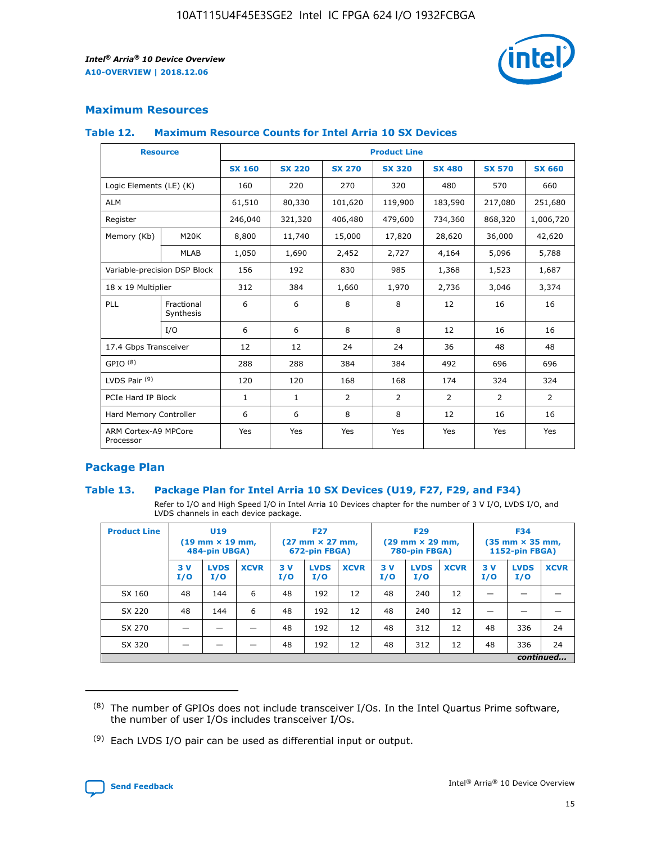

## **Maximum Resources**

#### **Table 12. Maximum Resource Counts for Intel Arria 10 SX Devices**

|                                   | <b>Resource</b>         | <b>Product Line</b> |               |                |                |                |                |                |  |  |  |
|-----------------------------------|-------------------------|---------------------|---------------|----------------|----------------|----------------|----------------|----------------|--|--|--|
|                                   |                         | <b>SX 160</b>       | <b>SX 220</b> | <b>SX 270</b>  | <b>SX 320</b>  | <b>SX 480</b>  | <b>SX 570</b>  | <b>SX 660</b>  |  |  |  |
| Logic Elements (LE) (K)           |                         | 160                 | 220           | 270            | 320            | 480            | 570            | 660            |  |  |  |
| <b>ALM</b>                        |                         | 61,510              | 80,330        | 101,620        | 119,900        | 183,590        | 217,080        | 251,680        |  |  |  |
| Register                          |                         | 246,040             | 321,320       | 406,480        | 479,600        | 734,360        | 868,320        | 1,006,720      |  |  |  |
| Memory (Kb)                       | M <sub>20</sub> K       | 8,800               | 11,740        | 15,000         | 17,820         | 28,620         | 36,000         | 42,620         |  |  |  |
|                                   | <b>MLAB</b>             | 1,050               | 1,690         | 2,452          | 2,727          | 4,164          | 5,096          | 5,788          |  |  |  |
| Variable-precision DSP Block      |                         | 156                 | 192           | 830            | 985            | 1,368          | 1,523          | 1,687          |  |  |  |
|                                   | 18 x 19 Multiplier      |                     | 384           | 1,660          | 1,970          | 2,736          | 3,046          | 3,374          |  |  |  |
| <b>PLL</b>                        | Fractional<br>Synthesis | 6                   | 6             | 8              | 8              | 12             | 16             | 16             |  |  |  |
|                                   | I/O                     | 6                   | 6             | 8              | 8              | 12             | 16             | 16             |  |  |  |
| 17.4 Gbps Transceiver             |                         | 12                  | 12            | 24             | 24             | 36             | 48             | 48             |  |  |  |
| GPIO <sup>(8)</sup>               |                         | 288                 | 288           | 384            | 384            | 492            | 696            | 696            |  |  |  |
| LVDS Pair $(9)$                   |                         | 120                 | 120           | 168            | 168            | 174            | 324            | 324            |  |  |  |
| PCIe Hard IP Block                |                         | $\mathbf{1}$        | $\mathbf{1}$  | $\overline{2}$ | $\overline{2}$ | $\overline{2}$ | $\overline{2}$ | $\overline{2}$ |  |  |  |
| Hard Memory Controller            |                         | 6                   | 6             | 8              | 8              | 12             | 16             | 16             |  |  |  |
| ARM Cortex-A9 MPCore<br>Processor |                         | Yes                 | Yes           | Yes            | Yes            | Yes            | Yes            | Yes            |  |  |  |

## **Package Plan**

#### **Table 13. Package Plan for Intel Arria 10 SX Devices (U19, F27, F29, and F34)**

Refer to I/O and High Speed I/O in Intel Arria 10 Devices chapter for the number of 3 V I/O, LVDS I/O, and LVDS channels in each device package.

| <b>Product Line</b> | U <sub>19</sub><br>$(19 \text{ mm} \times 19 \text{ mm})$<br>484-pin UBGA) |                    | <b>F27</b><br>$(27 \text{ mm} \times 27 \text{ mm})$<br>672-pin FBGA) |           | <b>F29</b><br>$(29 \text{ mm} \times 29 \text{ mm})$<br>780-pin FBGA) |             |            | <b>F34</b><br>$(35 \text{ mm} \times 35 \text{ mm})$<br><b>1152-pin FBGA)</b> |             |           |                    |             |
|---------------------|----------------------------------------------------------------------------|--------------------|-----------------------------------------------------------------------|-----------|-----------------------------------------------------------------------|-------------|------------|-------------------------------------------------------------------------------|-------------|-----------|--------------------|-------------|
|                     | 3V<br>I/O                                                                  | <b>LVDS</b><br>I/O | <b>XCVR</b>                                                           | 3V<br>I/O | <b>LVDS</b><br>I/O                                                    | <b>XCVR</b> | 3 V<br>I/O | <b>LVDS</b><br>I/O                                                            | <b>XCVR</b> | 3V<br>I/O | <b>LVDS</b><br>I/O | <b>XCVR</b> |
| SX 160              | 48                                                                         | 144                | 6                                                                     | 48        | 192                                                                   | 12          | 48         | 240                                                                           | 12          | –         |                    |             |
| SX 220              | 48                                                                         | 144                | 6                                                                     | 48        | 192                                                                   | 12          | 48         | 240                                                                           | 12          |           |                    |             |
| SX 270              |                                                                            |                    |                                                                       | 48        | 192                                                                   | 12          | 48         | 312                                                                           | 12          | 48        | 336                | 24          |
| SX 320              |                                                                            |                    |                                                                       | 48        | 192                                                                   | 12          | 48         | 312                                                                           | 12          | 48        | 336                | 24          |
|                     | continued                                                                  |                    |                                                                       |           |                                                                       |             |            |                                                                               |             |           |                    |             |

 $(8)$  The number of GPIOs does not include transceiver I/Os. In the Intel Quartus Prime software, the number of user I/Os includes transceiver I/Os.

 $(9)$  Each LVDS I/O pair can be used as differential input or output.

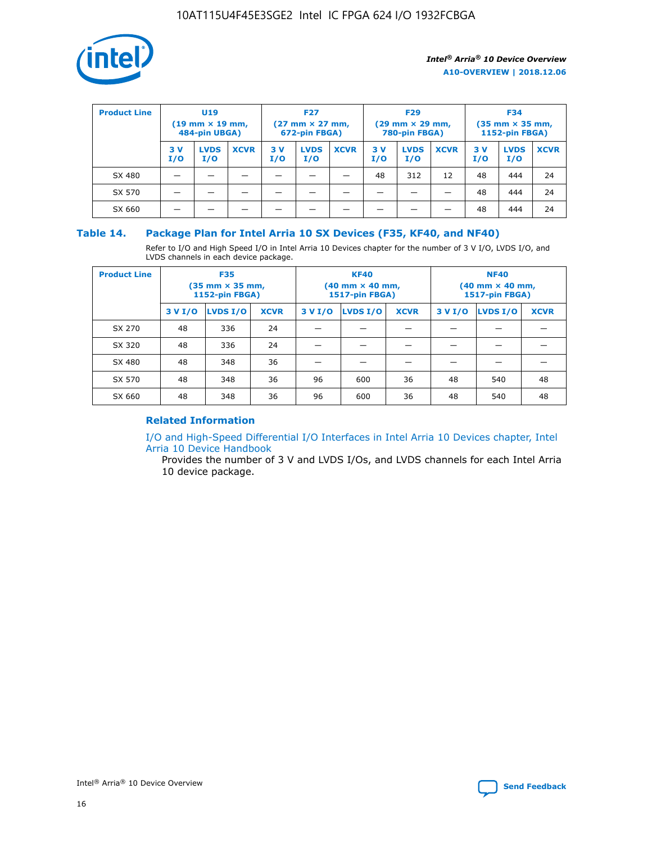

| <b>Product Line</b> | U <sub>19</sub><br>$(19 \text{ mm} \times 19 \text{ mm})$<br>484-pin UBGA) |                    | <b>F27</b><br>$(27 \text{ mm} \times 27 \text{ mm})$<br>672-pin FBGA) |            | <b>F29</b><br>$(29$ mm $\times$ 29 mm,<br>780-pin FBGA) |             |           | <b>F34</b><br>$(35$ mm $\times$ 35 mm,<br><b>1152-pin FBGA)</b> |             |            |                    |             |
|---------------------|----------------------------------------------------------------------------|--------------------|-----------------------------------------------------------------------|------------|---------------------------------------------------------|-------------|-----------|-----------------------------------------------------------------|-------------|------------|--------------------|-------------|
|                     | 3 V<br>I/O                                                                 | <b>LVDS</b><br>I/O | <b>XCVR</b>                                                           | 3 V<br>I/O | <b>LVDS</b><br>I/O                                      | <b>XCVR</b> | 3V<br>I/O | <b>LVDS</b><br>I/O                                              | <b>XCVR</b> | 3 V<br>I/O | <b>LVDS</b><br>I/O | <b>XCVR</b> |
| SX 480              |                                                                            |                    |                                                                       |            |                                                         |             | 48        | 312                                                             | 12          | 48         | 444                | 24          |
| SX 570              |                                                                            |                    |                                                                       |            |                                                         |             |           |                                                                 |             | 48         | 444                | 24          |
| SX 660              |                                                                            |                    |                                                                       |            |                                                         |             |           |                                                                 |             | 48         | 444                | 24          |

## **Table 14. Package Plan for Intel Arria 10 SX Devices (F35, KF40, and NF40)**

Refer to I/O and High Speed I/O in Intel Arria 10 Devices chapter for the number of 3 V I/O, LVDS I/O, and LVDS channels in each device package.

| <b>Product Line</b> | <b>F35</b><br>$(35$ mm $\times$ 35 mm,<br><b>1152-pin FBGA)</b> |          |             |                                           | <b>KF40</b><br>(40 mm × 40 mm,<br>1517-pin FBGA) |    | <b>NF40</b><br>(40 mm × 40 mm,<br>1517-pin FBGA) |          |             |  |
|---------------------|-----------------------------------------------------------------|----------|-------------|-------------------------------------------|--------------------------------------------------|----|--------------------------------------------------|----------|-------------|--|
|                     | 3 V I/O                                                         | LVDS I/O | <b>XCVR</b> | <b>LVDS I/O</b><br><b>XCVR</b><br>3 V I/O |                                                  |    | 3 V I/O                                          | LVDS I/O | <b>XCVR</b> |  |
| SX 270              | 48                                                              | 336      | 24          |                                           |                                                  |    |                                                  |          |             |  |
| SX 320              | 48                                                              | 336      | 24          |                                           |                                                  |    |                                                  |          |             |  |
| SX 480              | 48                                                              | 348      | 36          |                                           |                                                  |    |                                                  |          |             |  |
| SX 570              | 48                                                              | 348      | 36          | 96                                        | 600                                              | 36 | 48                                               | 540      | 48          |  |
| SX 660              | 48                                                              | 348      | 36          | 96                                        | 600                                              | 36 | 48                                               | 540      | 48          |  |

## **Related Information**

[I/O and High-Speed Differential I/O Interfaces in Intel Arria 10 Devices chapter, Intel](https://www.intel.com/content/www/us/en/programmable/documentation/sam1403482614086.html#sam1403482030321) [Arria 10 Device Handbook](https://www.intel.com/content/www/us/en/programmable/documentation/sam1403482614086.html#sam1403482030321)

Provides the number of 3 V and LVDS I/Os, and LVDS channels for each Intel Arria 10 device package.

Intel<sup>®</sup> Arria<sup>®</sup> 10 Device Overview **[Send Feedback](mailto:FPGAtechdocfeedback@intel.com?subject=Feedback%20on%20Intel%20Arria%2010%20Device%20Overview%20(A10-OVERVIEW%202018.12.06)&body=We%20appreciate%20your%20feedback.%20In%20your%20comments,%20also%20specify%20the%20page%20number%20or%20paragraph.%20Thank%20you.)** Send Feedback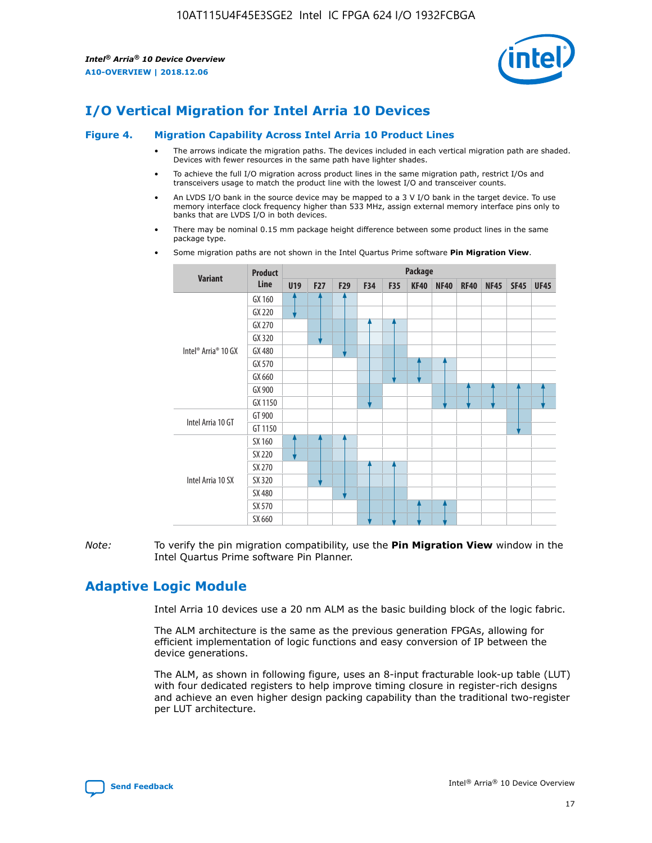

# **I/O Vertical Migration for Intel Arria 10 Devices**

#### **Figure 4. Migration Capability Across Intel Arria 10 Product Lines**

- The arrows indicate the migration paths. The devices included in each vertical migration path are shaded. Devices with fewer resources in the same path have lighter shades.
- To achieve the full I/O migration across product lines in the same migration path, restrict I/Os and transceivers usage to match the product line with the lowest I/O and transceiver counts.
- An LVDS I/O bank in the source device may be mapped to a 3 V I/O bank in the target device. To use memory interface clock frequency higher than 533 MHz, assign external memory interface pins only to banks that are LVDS I/O in both devices.
- There may be nominal 0.15 mm package height difference between some product lines in the same package type.
	- **Variant Product Line Package U19 F27 F29 F34 F35 KF40 NF40 RF40 NF45 SF45 UF45** Intel® Arria® 10 GX GX 160 GX 220 GX 270 GX 320 GX 480 GX 570 GX 660 GX 900 GX 1150 Intel Arria 10 GT GT 900 GT 1150 Intel Arria 10 SX SX 160 SX 220 SX 270 SX 320 SX 480 SX 570 SX 660
- Some migration paths are not shown in the Intel Quartus Prime software **Pin Migration View**.

*Note:* To verify the pin migration compatibility, use the **Pin Migration View** window in the Intel Quartus Prime software Pin Planner.

## **Adaptive Logic Module**

Intel Arria 10 devices use a 20 nm ALM as the basic building block of the logic fabric.

The ALM architecture is the same as the previous generation FPGAs, allowing for efficient implementation of logic functions and easy conversion of IP between the device generations.

The ALM, as shown in following figure, uses an 8-input fracturable look-up table (LUT) with four dedicated registers to help improve timing closure in register-rich designs and achieve an even higher design packing capability than the traditional two-register per LUT architecture.

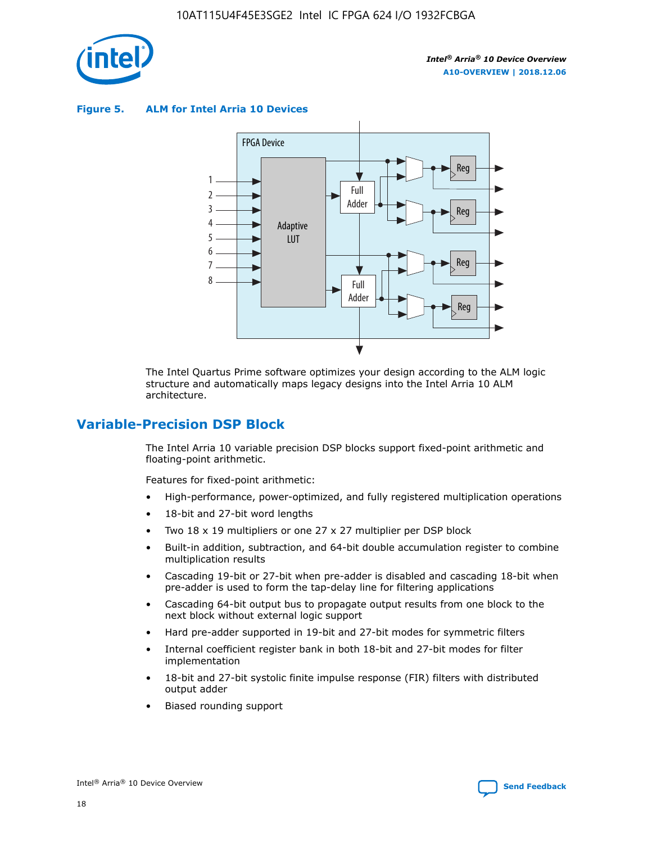

**Figure 5. ALM for Intel Arria 10 Devices**



The Intel Quartus Prime software optimizes your design according to the ALM logic structure and automatically maps legacy designs into the Intel Arria 10 ALM architecture.

## **Variable-Precision DSP Block**

The Intel Arria 10 variable precision DSP blocks support fixed-point arithmetic and floating-point arithmetic.

Features for fixed-point arithmetic:

- High-performance, power-optimized, and fully registered multiplication operations
- 18-bit and 27-bit word lengths
- Two 18 x 19 multipliers or one 27 x 27 multiplier per DSP block
- Built-in addition, subtraction, and 64-bit double accumulation register to combine multiplication results
- Cascading 19-bit or 27-bit when pre-adder is disabled and cascading 18-bit when pre-adder is used to form the tap-delay line for filtering applications
- Cascading 64-bit output bus to propagate output results from one block to the next block without external logic support
- Hard pre-adder supported in 19-bit and 27-bit modes for symmetric filters
- Internal coefficient register bank in both 18-bit and 27-bit modes for filter implementation
- 18-bit and 27-bit systolic finite impulse response (FIR) filters with distributed output adder
- Biased rounding support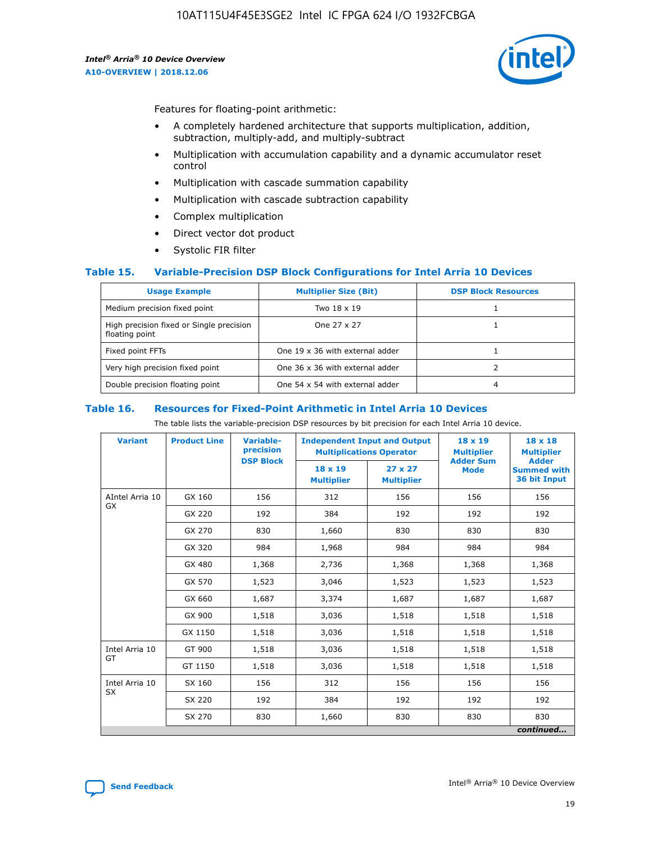

Features for floating-point arithmetic:

- A completely hardened architecture that supports multiplication, addition, subtraction, multiply-add, and multiply-subtract
- Multiplication with accumulation capability and a dynamic accumulator reset control
- Multiplication with cascade summation capability
- Multiplication with cascade subtraction capability
- Complex multiplication
- Direct vector dot product
- Systolic FIR filter

#### **Table 15. Variable-Precision DSP Block Configurations for Intel Arria 10 Devices**

| <b>Usage Example</b>                                       | <b>Multiplier Size (Bit)</b>    | <b>DSP Block Resources</b> |
|------------------------------------------------------------|---------------------------------|----------------------------|
| Medium precision fixed point                               | Two 18 x 19                     |                            |
| High precision fixed or Single precision<br>floating point | One 27 x 27                     |                            |
| Fixed point FFTs                                           | One 19 x 36 with external adder |                            |
| Very high precision fixed point                            | One 36 x 36 with external adder |                            |
| Double precision floating point                            | One 54 x 54 with external adder | 4                          |

#### **Table 16. Resources for Fixed-Point Arithmetic in Intel Arria 10 Devices**

The table lists the variable-precision DSP resources by bit precision for each Intel Arria 10 device.

| <b>Variant</b>        | <b>Product Line</b> | <b>Variable-</b><br>precision<br><b>DSP Block</b> | <b>Independent Input and Output</b><br><b>Multiplications Operator</b> |                                     | 18 x 19<br><b>Multiplier</b><br><b>Adder Sum</b> | $18 \times 18$<br><b>Multiplier</b><br><b>Adder</b> |
|-----------------------|---------------------|---------------------------------------------------|------------------------------------------------------------------------|-------------------------------------|--------------------------------------------------|-----------------------------------------------------|
|                       |                     |                                                   | 18 x 19<br><b>Multiplier</b>                                           | $27 \times 27$<br><b>Multiplier</b> | <b>Mode</b>                                      | <b>Summed with</b><br>36 bit Input                  |
| AIntel Arria 10<br>GX | GX 160              | 156                                               | 312                                                                    | 156                                 | 156                                              | 156                                                 |
|                       | GX 220              | 192                                               | 384                                                                    | 192                                 | 192                                              | 192                                                 |
|                       | GX 270              | 830                                               | 1,660                                                                  | 830                                 | 830                                              | 830                                                 |
|                       | GX 320              | 984                                               | 1,968                                                                  | 984                                 | 984                                              | 984                                                 |
|                       | GX 480              | 1,368                                             | 2,736                                                                  | 1,368                               | 1,368                                            | 1,368                                               |
|                       | GX 570              | 1,523                                             | 3,046                                                                  | 1,523                               | 1,523                                            | 1,523                                               |
|                       | GX 660              | 1,687                                             | 3,374                                                                  | 1,687                               | 1,687                                            | 1,687                                               |
|                       | GX 900              | 1,518                                             | 3,036                                                                  | 1,518                               | 1,518                                            | 1,518                                               |
|                       | GX 1150             | 1,518                                             | 3,036                                                                  | 1,518                               | 1,518                                            | 1,518                                               |
| Intel Arria 10        | GT 900              | 1,518                                             | 3,036                                                                  | 1,518                               | 1,518                                            | 1,518                                               |
| GT                    | GT 1150             | 1,518                                             | 3,036                                                                  | 1,518                               | 1,518                                            | 1,518                                               |
| Intel Arria 10        | SX 160              | 156                                               | 312                                                                    | 156                                 | 156                                              | 156                                                 |
| <b>SX</b>             | SX 220              | 192                                               | 384                                                                    | 192                                 | 192                                              | 192                                                 |
|                       | SX 270              | 830                                               | 1,660                                                                  | 830                                 | 830                                              | 830                                                 |
|                       |                     |                                                   |                                                                        |                                     |                                                  | continued                                           |

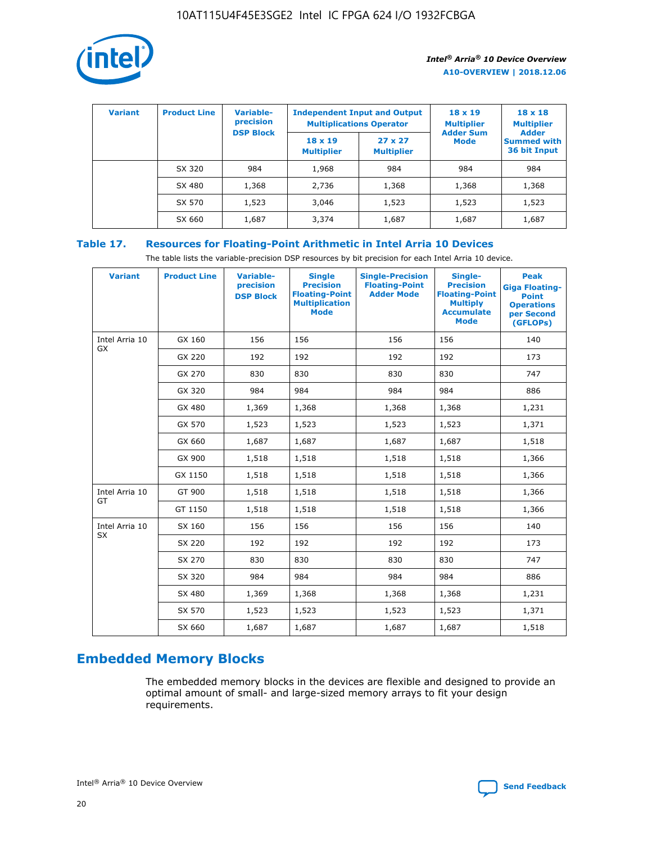

| <b>Variant</b> | <b>Product Line</b> | Variable-<br>precision | <b>Independent Input and Output</b><br><b>Multiplications Operator</b> |                                     | $18 \times 19$<br><b>Multiplier</b> | $18 \times 18$<br><b>Multiplier</b><br><b>Adder</b> |  |
|----------------|---------------------|------------------------|------------------------------------------------------------------------|-------------------------------------|-------------------------------------|-----------------------------------------------------|--|
|                |                     | <b>DSP Block</b>       | $18 \times 19$<br><b>Multiplier</b>                                    | $27 \times 27$<br><b>Multiplier</b> | <b>Adder Sum</b><br><b>Mode</b>     | <b>Summed with</b><br>36 bit Input                  |  |
|                | SX 320              | 984                    | 1,968                                                                  | 984                                 | 984                                 | 984                                                 |  |
|                | SX 480              | 1,368                  | 2,736                                                                  | 1,368                               | 1,368                               | 1,368                                               |  |
|                | SX 570              | 1,523                  | 3,046                                                                  | 1,523                               | 1,523                               | 1,523                                               |  |
|                | SX 660              | 1,687                  | 3,374                                                                  | 1,687                               | 1,687                               | 1,687                                               |  |

## **Table 17. Resources for Floating-Point Arithmetic in Intel Arria 10 Devices**

The table lists the variable-precision DSP resources by bit precision for each Intel Arria 10 device.

| <b>Variant</b> | <b>Product Line</b> | <b>Variable-</b><br>precision<br><b>DSP Block</b> | <b>Single</b><br><b>Precision</b><br><b>Floating-Point</b><br><b>Multiplication</b><br><b>Mode</b> | <b>Single-Precision</b><br><b>Floating-Point</b><br><b>Adder Mode</b> | Single-<br><b>Precision</b><br><b>Floating-Point</b><br><b>Multiply</b><br><b>Accumulate</b><br><b>Mode</b> | <b>Peak</b><br><b>Giga Floating-</b><br><b>Point</b><br><b>Operations</b><br>per Second<br>(GFLOPs) |
|----------------|---------------------|---------------------------------------------------|----------------------------------------------------------------------------------------------------|-----------------------------------------------------------------------|-------------------------------------------------------------------------------------------------------------|-----------------------------------------------------------------------------------------------------|
| Intel Arria 10 | GX 160              | 156                                               | 156                                                                                                | 156                                                                   | 156                                                                                                         | 140                                                                                                 |
| <b>GX</b>      | GX 220              | 192                                               | 192                                                                                                | 192                                                                   | 192                                                                                                         | 173                                                                                                 |
|                | GX 270              | 830                                               | 830                                                                                                | 830                                                                   | 830                                                                                                         | 747                                                                                                 |
|                | GX 320              | 984                                               | 984                                                                                                | 984                                                                   | 984                                                                                                         | 886                                                                                                 |
|                | GX 480              | 1,369                                             | 1,368                                                                                              | 1,368                                                                 | 1,368                                                                                                       | 1,231                                                                                               |
|                | GX 570              | 1,523                                             | 1,523                                                                                              | 1,523                                                                 | 1,523                                                                                                       | 1,371                                                                                               |
|                | GX 660              | 1,687                                             | 1,687                                                                                              | 1,687                                                                 | 1,687                                                                                                       | 1,518                                                                                               |
|                | GX 900              | 1,518                                             | 1,518                                                                                              | 1,518                                                                 | 1,518                                                                                                       | 1,366                                                                                               |
|                | GX 1150             | 1,518                                             | 1,518                                                                                              | 1,518                                                                 | 1,518                                                                                                       | 1,366                                                                                               |
| Intel Arria 10 | GT 900              | 1,518                                             | 1,518                                                                                              | 1,518                                                                 | 1,518                                                                                                       | 1,366                                                                                               |
| GT             | GT 1150             | 1,518                                             | 1,518                                                                                              | 1,518                                                                 | 1,518                                                                                                       | 1,366                                                                                               |
| Intel Arria 10 | SX 160              | 156                                               | 156                                                                                                | 156                                                                   | 156                                                                                                         | 140                                                                                                 |
| SX             | SX 220              | 192                                               | 192                                                                                                | 192                                                                   | 192                                                                                                         | 173                                                                                                 |
|                | SX 270              | 830                                               | 830                                                                                                | 830                                                                   | 830                                                                                                         | 747                                                                                                 |
|                | SX 320              | 984                                               | 984                                                                                                | 984                                                                   | 984                                                                                                         | 886                                                                                                 |
|                | SX 480              | 1,369                                             | 1,368                                                                                              | 1,368                                                                 | 1,368                                                                                                       | 1,231                                                                                               |
|                | SX 570              | 1,523                                             | 1,523                                                                                              | 1,523                                                                 | 1,523                                                                                                       | 1,371                                                                                               |
|                | SX 660              | 1,687                                             | 1,687                                                                                              | 1,687                                                                 | 1,687                                                                                                       | 1,518                                                                                               |

# **Embedded Memory Blocks**

The embedded memory blocks in the devices are flexible and designed to provide an optimal amount of small- and large-sized memory arrays to fit your design requirements.

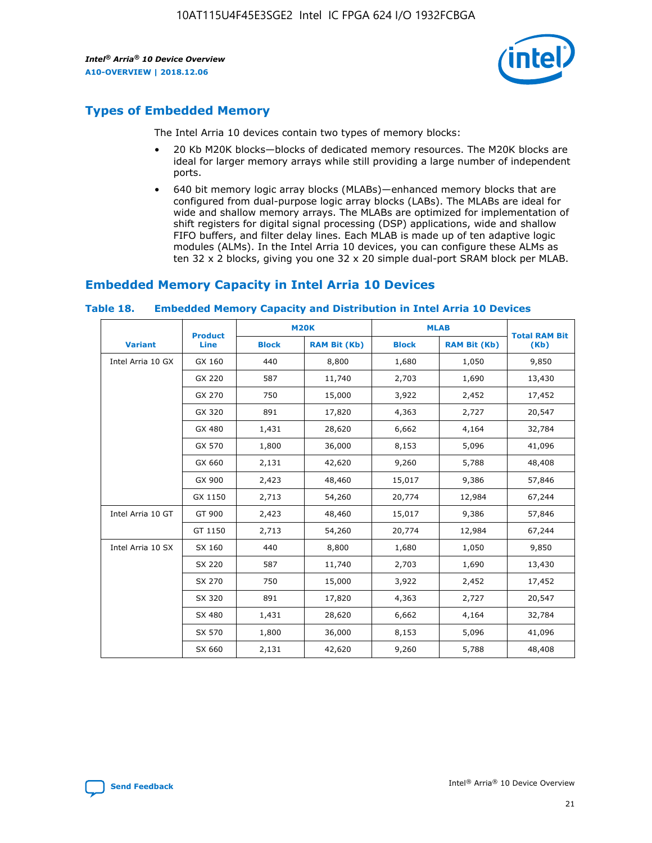

## **Types of Embedded Memory**

The Intel Arria 10 devices contain two types of memory blocks:

- 20 Kb M20K blocks—blocks of dedicated memory resources. The M20K blocks are ideal for larger memory arrays while still providing a large number of independent ports.
- 640 bit memory logic array blocks (MLABs)—enhanced memory blocks that are configured from dual-purpose logic array blocks (LABs). The MLABs are ideal for wide and shallow memory arrays. The MLABs are optimized for implementation of shift registers for digital signal processing (DSP) applications, wide and shallow FIFO buffers, and filter delay lines. Each MLAB is made up of ten adaptive logic modules (ALMs). In the Intel Arria 10 devices, you can configure these ALMs as ten 32 x 2 blocks, giving you one 32 x 20 simple dual-port SRAM block per MLAB.

## **Embedded Memory Capacity in Intel Arria 10 Devices**

|                   | <b>Product</b> |              | <b>M20K</b>         | <b>MLAB</b>  |                     | <b>Total RAM Bit</b> |
|-------------------|----------------|--------------|---------------------|--------------|---------------------|----------------------|
| <b>Variant</b>    | Line           | <b>Block</b> | <b>RAM Bit (Kb)</b> | <b>Block</b> | <b>RAM Bit (Kb)</b> | (Kb)                 |
| Intel Arria 10 GX | GX 160         | 440          | 8,800               | 1,680        | 1,050               | 9,850                |
|                   | GX 220         | 587          | 11,740              | 2,703        | 1,690               | 13,430               |
|                   | GX 270         | 750          | 15,000              | 3,922        | 2,452               | 17,452               |
|                   | GX 320         | 891          | 17,820              | 4,363        | 2,727               | 20,547               |
|                   | GX 480         | 1,431        | 28,620              | 6,662        | 4,164               | 32,784               |
|                   | GX 570         | 1,800        | 36,000              | 8,153        | 5,096               | 41,096               |
|                   | GX 660         | 2,131        | 42,620              | 9,260        | 5,788               | 48,408               |
|                   | GX 900         | 2,423        | 48,460              | 15,017       | 9,386               | 57,846               |
|                   | GX 1150        | 2,713        | 54,260              | 20,774       | 12,984              | 67,244               |
| Intel Arria 10 GT | GT 900         | 2,423        | 48,460              | 15,017       | 9,386               | 57,846               |
|                   | GT 1150        | 2,713        | 54,260              | 20,774       | 12,984              | 67,244               |
| Intel Arria 10 SX | SX 160         | 440          | 8,800               | 1,680        | 1,050               | 9,850                |
|                   | SX 220         | 587          | 11,740              | 2,703        | 1,690               | 13,430               |
|                   | SX 270         | 750          | 15,000              | 3,922        | 2,452               | 17,452               |
|                   | SX 320         | 891          | 17,820              | 4,363        | 2,727               | 20,547               |
|                   | SX 480         | 1,431        | 28,620              | 6,662        | 4,164               | 32,784               |
|                   | SX 570         | 1,800        | 36,000              | 8,153        | 5,096               | 41,096               |
|                   | SX 660         | 2,131        | 42,620              | 9,260        | 5,788               | 48,408               |

#### **Table 18. Embedded Memory Capacity and Distribution in Intel Arria 10 Devices**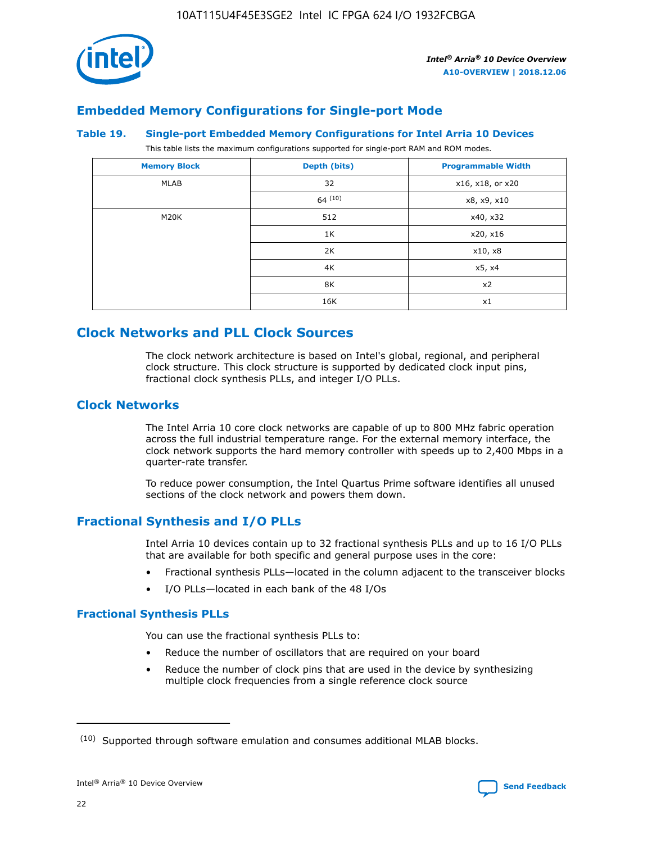

## **Embedded Memory Configurations for Single-port Mode**

#### **Table 19. Single-port Embedded Memory Configurations for Intel Arria 10 Devices**

This table lists the maximum configurations supported for single-port RAM and ROM modes.

| <b>Memory Block</b> | Depth (bits) | <b>Programmable Width</b> |
|---------------------|--------------|---------------------------|
| MLAB                | 32           | x16, x18, or x20          |
|                     | 64(10)       | x8, x9, x10               |
| M20K                | 512          | x40, x32                  |
|                     | 1K           | x20, x16                  |
|                     | 2K           | x10, x8                   |
|                     | 4K           | x5, x4                    |
|                     | 8K           | x2                        |
|                     | 16K          | x1                        |

## **Clock Networks and PLL Clock Sources**

The clock network architecture is based on Intel's global, regional, and peripheral clock structure. This clock structure is supported by dedicated clock input pins, fractional clock synthesis PLLs, and integer I/O PLLs.

## **Clock Networks**

The Intel Arria 10 core clock networks are capable of up to 800 MHz fabric operation across the full industrial temperature range. For the external memory interface, the clock network supports the hard memory controller with speeds up to 2,400 Mbps in a quarter-rate transfer.

To reduce power consumption, the Intel Quartus Prime software identifies all unused sections of the clock network and powers them down.

## **Fractional Synthesis and I/O PLLs**

Intel Arria 10 devices contain up to 32 fractional synthesis PLLs and up to 16 I/O PLLs that are available for both specific and general purpose uses in the core:

- Fractional synthesis PLLs—located in the column adjacent to the transceiver blocks
- I/O PLLs—located in each bank of the 48 I/Os

## **Fractional Synthesis PLLs**

You can use the fractional synthesis PLLs to:

- Reduce the number of oscillators that are required on your board
- Reduce the number of clock pins that are used in the device by synthesizing multiple clock frequencies from a single reference clock source

<sup>(10)</sup> Supported through software emulation and consumes additional MLAB blocks.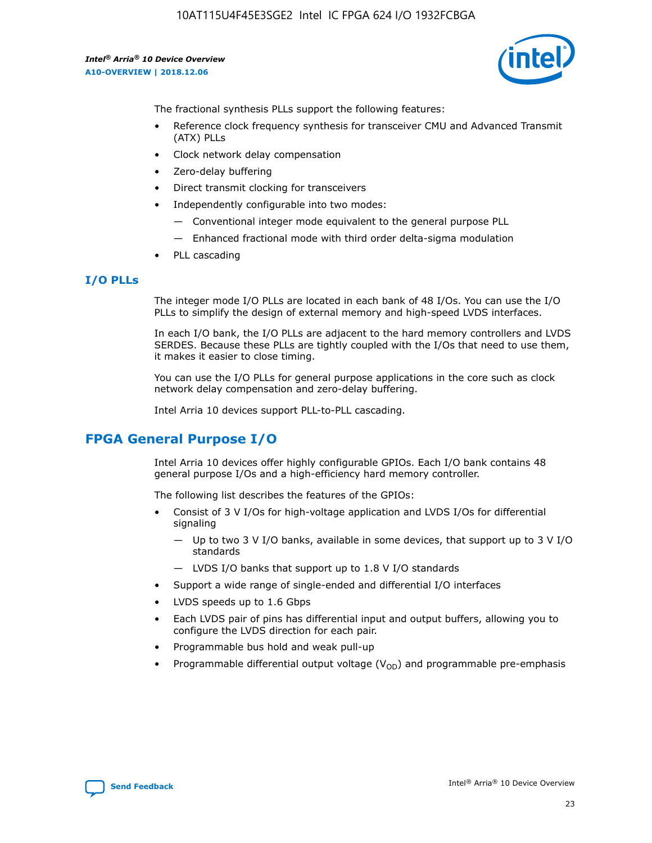

The fractional synthesis PLLs support the following features:

- Reference clock frequency synthesis for transceiver CMU and Advanced Transmit (ATX) PLLs
- Clock network delay compensation
- Zero-delay buffering
- Direct transmit clocking for transceivers
- Independently configurable into two modes:
	- Conventional integer mode equivalent to the general purpose PLL
	- Enhanced fractional mode with third order delta-sigma modulation
- PLL cascading

## **I/O PLLs**

The integer mode I/O PLLs are located in each bank of 48 I/Os. You can use the I/O PLLs to simplify the design of external memory and high-speed LVDS interfaces.

In each I/O bank, the I/O PLLs are adjacent to the hard memory controllers and LVDS SERDES. Because these PLLs are tightly coupled with the I/Os that need to use them, it makes it easier to close timing.

You can use the I/O PLLs for general purpose applications in the core such as clock network delay compensation and zero-delay buffering.

Intel Arria 10 devices support PLL-to-PLL cascading.

## **FPGA General Purpose I/O**

Intel Arria 10 devices offer highly configurable GPIOs. Each I/O bank contains 48 general purpose I/Os and a high-efficiency hard memory controller.

The following list describes the features of the GPIOs:

- Consist of 3 V I/Os for high-voltage application and LVDS I/Os for differential signaling
	- Up to two 3 V I/O banks, available in some devices, that support up to 3 V I/O standards
	- LVDS I/O banks that support up to 1.8 V I/O standards
- Support a wide range of single-ended and differential I/O interfaces
- LVDS speeds up to 1.6 Gbps
- Each LVDS pair of pins has differential input and output buffers, allowing you to configure the LVDS direction for each pair.
- Programmable bus hold and weak pull-up
- Programmable differential output voltage  $(V_{OD})$  and programmable pre-emphasis

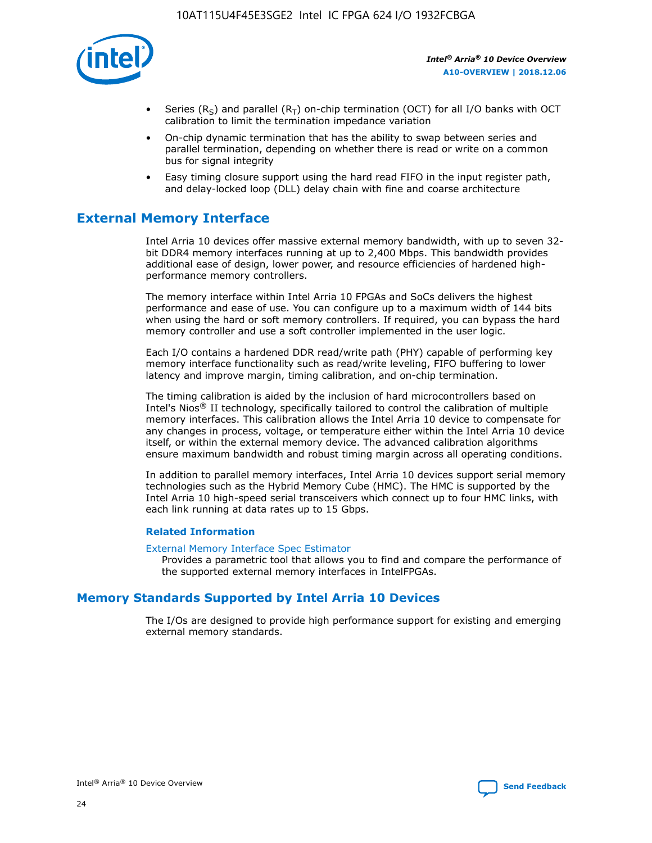

- Series (R<sub>S</sub>) and parallel (R<sub>T</sub>) on-chip termination (OCT) for all I/O banks with OCT calibration to limit the termination impedance variation
- On-chip dynamic termination that has the ability to swap between series and parallel termination, depending on whether there is read or write on a common bus for signal integrity
- Easy timing closure support using the hard read FIFO in the input register path, and delay-locked loop (DLL) delay chain with fine and coarse architecture

## **External Memory Interface**

Intel Arria 10 devices offer massive external memory bandwidth, with up to seven 32 bit DDR4 memory interfaces running at up to 2,400 Mbps. This bandwidth provides additional ease of design, lower power, and resource efficiencies of hardened highperformance memory controllers.

The memory interface within Intel Arria 10 FPGAs and SoCs delivers the highest performance and ease of use. You can configure up to a maximum width of 144 bits when using the hard or soft memory controllers. If required, you can bypass the hard memory controller and use a soft controller implemented in the user logic.

Each I/O contains a hardened DDR read/write path (PHY) capable of performing key memory interface functionality such as read/write leveling, FIFO buffering to lower latency and improve margin, timing calibration, and on-chip termination.

The timing calibration is aided by the inclusion of hard microcontrollers based on Intel's Nios® II technology, specifically tailored to control the calibration of multiple memory interfaces. This calibration allows the Intel Arria 10 device to compensate for any changes in process, voltage, or temperature either within the Intel Arria 10 device itself, or within the external memory device. The advanced calibration algorithms ensure maximum bandwidth and robust timing margin across all operating conditions.

In addition to parallel memory interfaces, Intel Arria 10 devices support serial memory technologies such as the Hybrid Memory Cube (HMC). The HMC is supported by the Intel Arria 10 high-speed serial transceivers which connect up to four HMC links, with each link running at data rates up to 15 Gbps.

#### **Related Information**

#### [External Memory Interface Spec Estimator](http://www.altera.com/technology/memory/estimator/mem-emif-index.html)

Provides a parametric tool that allows you to find and compare the performance of the supported external memory interfaces in IntelFPGAs.

## **Memory Standards Supported by Intel Arria 10 Devices**

The I/Os are designed to provide high performance support for existing and emerging external memory standards.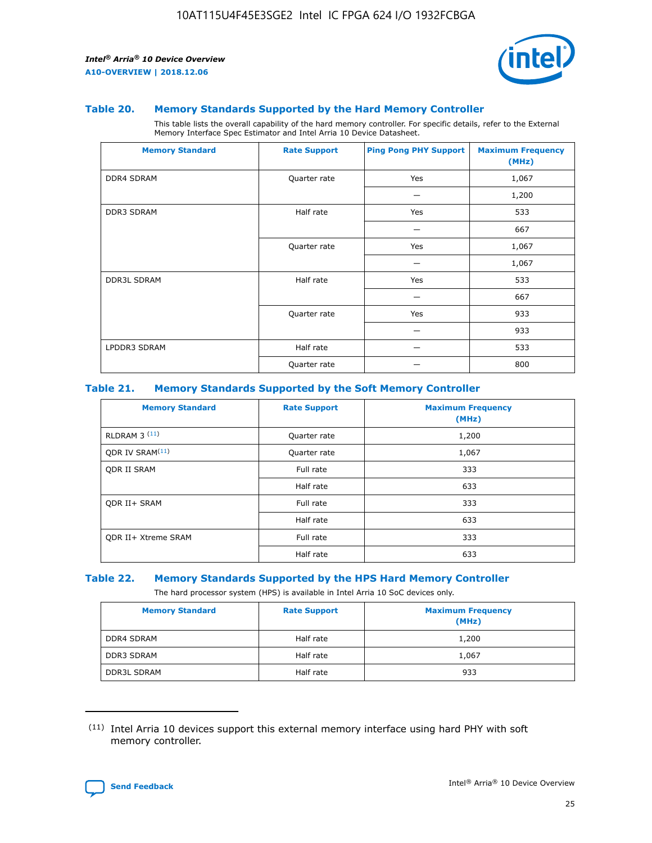

#### **Table 20. Memory Standards Supported by the Hard Memory Controller**

This table lists the overall capability of the hard memory controller. For specific details, refer to the External Memory Interface Spec Estimator and Intel Arria 10 Device Datasheet.

| <b>Memory Standard</b> | <b>Rate Support</b> | <b>Ping Pong PHY Support</b> | <b>Maximum Frequency</b><br>(MHz) |
|------------------------|---------------------|------------------------------|-----------------------------------|
| <b>DDR4 SDRAM</b>      | Quarter rate        | Yes                          | 1,067                             |
|                        |                     |                              | 1,200                             |
| DDR3 SDRAM             | Half rate           | Yes                          | 533                               |
|                        |                     |                              | 667                               |
|                        | Quarter rate        | Yes                          | 1,067                             |
|                        |                     |                              | 1,067                             |
| <b>DDR3L SDRAM</b>     | Half rate           | Yes                          | 533                               |
|                        |                     |                              | 667                               |
|                        | Quarter rate        | Yes                          | 933                               |
|                        |                     |                              | 933                               |
| LPDDR3 SDRAM           | Half rate           |                              | 533                               |
|                        | Quarter rate        |                              | 800                               |

#### **Table 21. Memory Standards Supported by the Soft Memory Controller**

| <b>Memory Standard</b>      | <b>Rate Support</b> | <b>Maximum Frequency</b><br>(MHz) |
|-----------------------------|---------------------|-----------------------------------|
| <b>RLDRAM 3 (11)</b>        | Quarter rate        | 1,200                             |
| ODR IV SRAM <sup>(11)</sup> | Quarter rate        | 1,067                             |
| <b>ODR II SRAM</b>          | Full rate           | 333                               |
|                             | Half rate           | 633                               |
| <b>ODR II+ SRAM</b>         | Full rate           | 333                               |
|                             | Half rate           | 633                               |
| <b>ODR II+ Xtreme SRAM</b>  | Full rate           | 333                               |
|                             | Half rate           | 633                               |

#### **Table 22. Memory Standards Supported by the HPS Hard Memory Controller**

The hard processor system (HPS) is available in Intel Arria 10 SoC devices only.

| <b>Memory Standard</b> | <b>Rate Support</b> | <b>Maximum Frequency</b><br>(MHz) |
|------------------------|---------------------|-----------------------------------|
| <b>DDR4 SDRAM</b>      | Half rate           | 1,200                             |
| <b>DDR3 SDRAM</b>      | Half rate           | 1,067                             |
| <b>DDR3L SDRAM</b>     | Half rate           | 933                               |

<sup>(11)</sup> Intel Arria 10 devices support this external memory interface using hard PHY with soft memory controller.

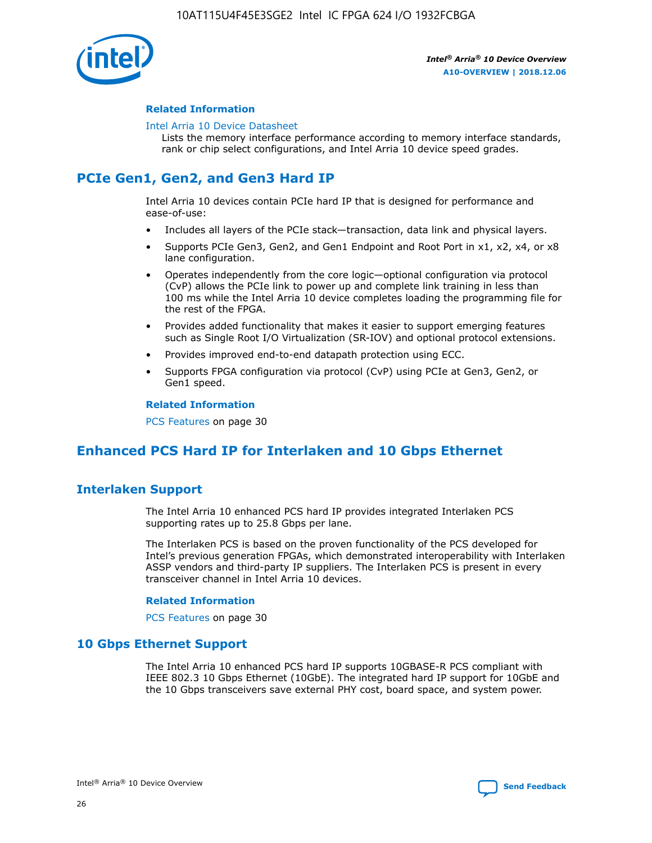

#### **Related Information**

#### [Intel Arria 10 Device Datasheet](https://www.intel.com/content/www/us/en/programmable/documentation/mcn1413182292568.html#mcn1413182153340)

Lists the memory interface performance according to memory interface standards, rank or chip select configurations, and Intel Arria 10 device speed grades.

# **PCIe Gen1, Gen2, and Gen3 Hard IP**

Intel Arria 10 devices contain PCIe hard IP that is designed for performance and ease-of-use:

- Includes all layers of the PCIe stack—transaction, data link and physical layers.
- Supports PCIe Gen3, Gen2, and Gen1 Endpoint and Root Port in x1, x2, x4, or x8 lane configuration.
- Operates independently from the core logic—optional configuration via protocol (CvP) allows the PCIe link to power up and complete link training in less than 100 ms while the Intel Arria 10 device completes loading the programming file for the rest of the FPGA.
- Provides added functionality that makes it easier to support emerging features such as Single Root I/O Virtualization (SR-IOV) and optional protocol extensions.
- Provides improved end-to-end datapath protection using ECC.
- Supports FPGA configuration via protocol (CvP) using PCIe at Gen3, Gen2, or Gen1 speed.

#### **Related Information**

PCS Features on page 30

## **Enhanced PCS Hard IP for Interlaken and 10 Gbps Ethernet**

## **Interlaken Support**

The Intel Arria 10 enhanced PCS hard IP provides integrated Interlaken PCS supporting rates up to 25.8 Gbps per lane.

The Interlaken PCS is based on the proven functionality of the PCS developed for Intel's previous generation FPGAs, which demonstrated interoperability with Interlaken ASSP vendors and third-party IP suppliers. The Interlaken PCS is present in every transceiver channel in Intel Arria 10 devices.

#### **Related Information**

PCS Features on page 30

## **10 Gbps Ethernet Support**

The Intel Arria 10 enhanced PCS hard IP supports 10GBASE-R PCS compliant with IEEE 802.3 10 Gbps Ethernet (10GbE). The integrated hard IP support for 10GbE and the 10 Gbps transceivers save external PHY cost, board space, and system power.

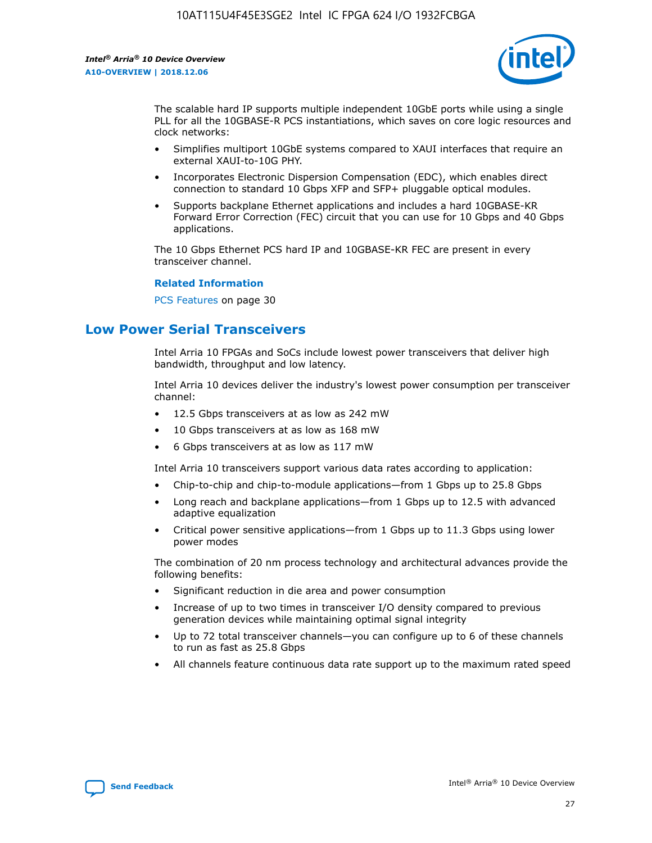

The scalable hard IP supports multiple independent 10GbE ports while using a single PLL for all the 10GBASE-R PCS instantiations, which saves on core logic resources and clock networks:

- Simplifies multiport 10GbE systems compared to XAUI interfaces that require an external XAUI-to-10G PHY.
- Incorporates Electronic Dispersion Compensation (EDC), which enables direct connection to standard 10 Gbps XFP and SFP+ pluggable optical modules.
- Supports backplane Ethernet applications and includes a hard 10GBASE-KR Forward Error Correction (FEC) circuit that you can use for 10 Gbps and 40 Gbps applications.

The 10 Gbps Ethernet PCS hard IP and 10GBASE-KR FEC are present in every transceiver channel.

#### **Related Information**

PCS Features on page 30

## **Low Power Serial Transceivers**

Intel Arria 10 FPGAs and SoCs include lowest power transceivers that deliver high bandwidth, throughput and low latency.

Intel Arria 10 devices deliver the industry's lowest power consumption per transceiver channel:

- 12.5 Gbps transceivers at as low as 242 mW
- 10 Gbps transceivers at as low as 168 mW
- 6 Gbps transceivers at as low as 117 mW

Intel Arria 10 transceivers support various data rates according to application:

- Chip-to-chip and chip-to-module applications—from 1 Gbps up to 25.8 Gbps
- Long reach and backplane applications—from 1 Gbps up to 12.5 with advanced adaptive equalization
- Critical power sensitive applications—from 1 Gbps up to 11.3 Gbps using lower power modes

The combination of 20 nm process technology and architectural advances provide the following benefits:

- Significant reduction in die area and power consumption
- Increase of up to two times in transceiver I/O density compared to previous generation devices while maintaining optimal signal integrity
- Up to 72 total transceiver channels—you can configure up to 6 of these channels to run as fast as 25.8 Gbps
- All channels feature continuous data rate support up to the maximum rated speed

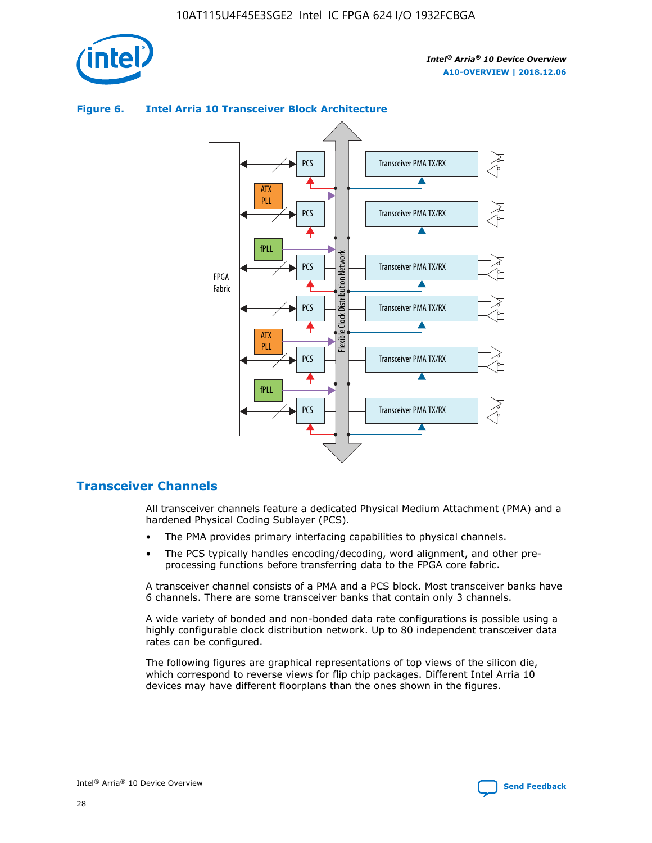



## **Figure 6. Intel Arria 10 Transceiver Block Architecture**

## **Transceiver Channels**

All transceiver channels feature a dedicated Physical Medium Attachment (PMA) and a hardened Physical Coding Sublayer (PCS).

- The PMA provides primary interfacing capabilities to physical channels.
- The PCS typically handles encoding/decoding, word alignment, and other preprocessing functions before transferring data to the FPGA core fabric.

A transceiver channel consists of a PMA and a PCS block. Most transceiver banks have 6 channels. There are some transceiver banks that contain only 3 channels.

A wide variety of bonded and non-bonded data rate configurations is possible using a highly configurable clock distribution network. Up to 80 independent transceiver data rates can be configured.

The following figures are graphical representations of top views of the silicon die, which correspond to reverse views for flip chip packages. Different Intel Arria 10 devices may have different floorplans than the ones shown in the figures.

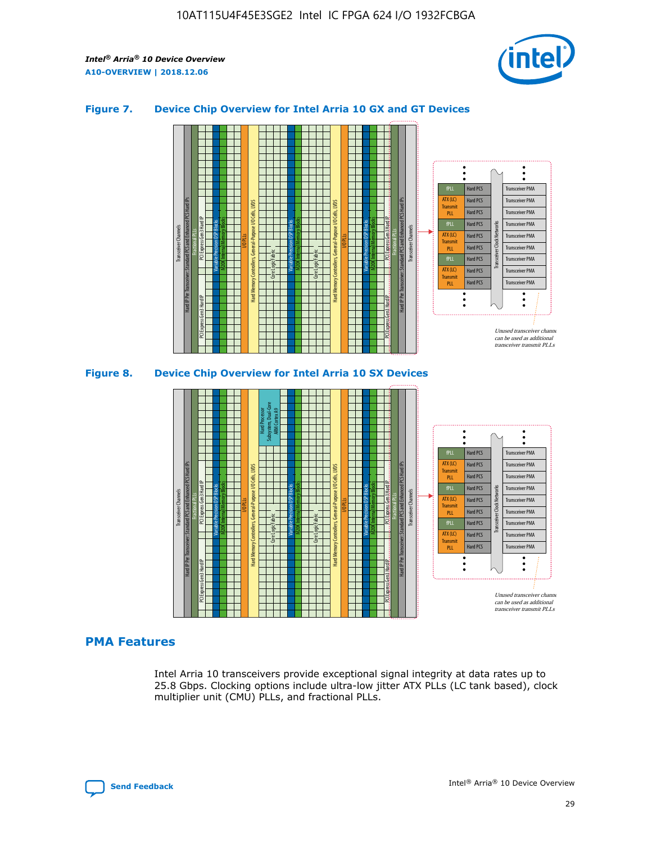

## **Figure 7. Device Chip Overview for Intel Arria 10 GX and GT Devices**





## **PMA Features**

Intel Arria 10 transceivers provide exceptional signal integrity at data rates up to 25.8 Gbps. Clocking options include ultra-low jitter ATX PLLs (LC tank based), clock multiplier unit (CMU) PLLs, and fractional PLLs.

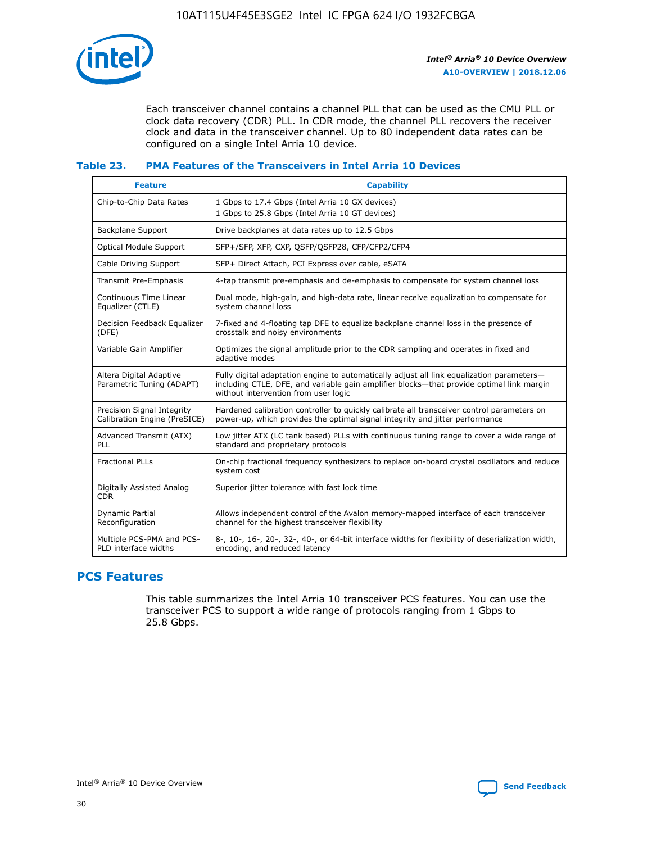

Each transceiver channel contains a channel PLL that can be used as the CMU PLL or clock data recovery (CDR) PLL. In CDR mode, the channel PLL recovers the receiver clock and data in the transceiver channel. Up to 80 independent data rates can be configured on a single Intel Arria 10 device.

## **Table 23. PMA Features of the Transceivers in Intel Arria 10 Devices**

| <b>Feature</b>                                             | <b>Capability</b>                                                                                                                                                                                                             |
|------------------------------------------------------------|-------------------------------------------------------------------------------------------------------------------------------------------------------------------------------------------------------------------------------|
| Chip-to-Chip Data Rates                                    | 1 Gbps to 17.4 Gbps (Intel Arria 10 GX devices)<br>1 Gbps to 25.8 Gbps (Intel Arria 10 GT devices)                                                                                                                            |
| <b>Backplane Support</b>                                   | Drive backplanes at data rates up to 12.5 Gbps                                                                                                                                                                                |
| Optical Module Support                                     | SFP+/SFP, XFP, CXP, QSFP/QSFP28, CFP/CFP2/CFP4                                                                                                                                                                                |
| Cable Driving Support                                      | SFP+ Direct Attach, PCI Express over cable, eSATA                                                                                                                                                                             |
| Transmit Pre-Emphasis                                      | 4-tap transmit pre-emphasis and de-emphasis to compensate for system channel loss                                                                                                                                             |
| Continuous Time Linear<br>Equalizer (CTLE)                 | Dual mode, high-gain, and high-data rate, linear receive equalization to compensate for<br>system channel loss                                                                                                                |
| Decision Feedback Equalizer<br>(DFE)                       | 7-fixed and 4-floating tap DFE to equalize backplane channel loss in the presence of<br>crosstalk and noisy environments                                                                                                      |
| Variable Gain Amplifier                                    | Optimizes the signal amplitude prior to the CDR sampling and operates in fixed and<br>adaptive modes                                                                                                                          |
| Altera Digital Adaptive<br>Parametric Tuning (ADAPT)       | Fully digital adaptation engine to automatically adjust all link equalization parameters-<br>including CTLE, DFE, and variable gain amplifier blocks—that provide optimal link margin<br>without intervention from user logic |
| Precision Signal Integrity<br>Calibration Engine (PreSICE) | Hardened calibration controller to quickly calibrate all transceiver control parameters on<br>power-up, which provides the optimal signal integrity and jitter performance                                                    |
| Advanced Transmit (ATX)<br><b>PLL</b>                      | Low jitter ATX (LC tank based) PLLs with continuous tuning range to cover a wide range of<br>standard and proprietary protocols                                                                                               |
| <b>Fractional PLLs</b>                                     | On-chip fractional frequency synthesizers to replace on-board crystal oscillators and reduce<br>system cost                                                                                                                   |
| Digitally Assisted Analog<br><b>CDR</b>                    | Superior jitter tolerance with fast lock time                                                                                                                                                                                 |
| Dynamic Partial<br>Reconfiguration                         | Allows independent control of the Avalon memory-mapped interface of each transceiver<br>channel for the highest transceiver flexibility                                                                                       |
| Multiple PCS-PMA and PCS-<br>PLD interface widths          | 8-, 10-, 16-, 20-, 32-, 40-, or 64-bit interface widths for flexibility of deserialization width,<br>encoding, and reduced latency                                                                                            |

## **PCS Features**

This table summarizes the Intel Arria 10 transceiver PCS features. You can use the transceiver PCS to support a wide range of protocols ranging from 1 Gbps to 25.8 Gbps.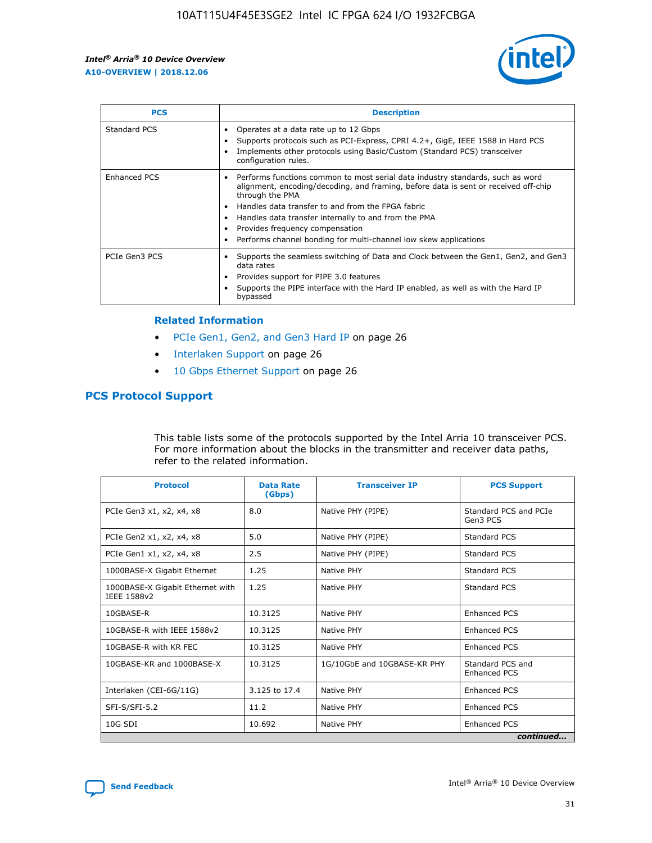

| <b>PCS</b>    | <b>Description</b>                                                                                                                                                                                                                                                                                                                                                                                             |
|---------------|----------------------------------------------------------------------------------------------------------------------------------------------------------------------------------------------------------------------------------------------------------------------------------------------------------------------------------------------------------------------------------------------------------------|
| Standard PCS  | Operates at a data rate up to 12 Gbps<br>Supports protocols such as PCI-Express, CPRI 4.2+, GigE, IEEE 1588 in Hard PCS<br>Implements other protocols using Basic/Custom (Standard PCS) transceiver<br>configuration rules.                                                                                                                                                                                    |
| Enhanced PCS  | Performs functions common to most serial data industry standards, such as word<br>alignment, encoding/decoding, and framing, before data is sent or received off-chip<br>through the PMA<br>• Handles data transfer to and from the FPGA fabric<br>Handles data transfer internally to and from the PMA<br>Provides frequency compensation<br>Performs channel bonding for multi-channel low skew applications |
| PCIe Gen3 PCS | Supports the seamless switching of Data and Clock between the Gen1, Gen2, and Gen3<br>data rates<br>Provides support for PIPE 3.0 features<br>Supports the PIPE interface with the Hard IP enabled, as well as with the Hard IP<br>bypassed                                                                                                                                                                    |

#### **Related Information**

- PCIe Gen1, Gen2, and Gen3 Hard IP on page 26
- Interlaken Support on page 26
- 10 Gbps Ethernet Support on page 26

## **PCS Protocol Support**

This table lists some of the protocols supported by the Intel Arria 10 transceiver PCS. For more information about the blocks in the transmitter and receiver data paths, refer to the related information.

| <b>Protocol</b>                                 | <b>Data Rate</b><br>(Gbps) | <b>Transceiver IP</b>       | <b>PCS Support</b>                      |
|-------------------------------------------------|----------------------------|-----------------------------|-----------------------------------------|
| PCIe Gen3 x1, x2, x4, x8                        | 8.0                        | Native PHY (PIPE)           | Standard PCS and PCIe<br>Gen3 PCS       |
| PCIe Gen2 x1, x2, x4, x8                        | 5.0                        | Native PHY (PIPE)           | <b>Standard PCS</b>                     |
| PCIe Gen1 x1, x2, x4, x8                        | 2.5                        | Native PHY (PIPE)           | Standard PCS                            |
| 1000BASE-X Gigabit Ethernet                     | 1.25                       | Native PHY                  | <b>Standard PCS</b>                     |
| 1000BASE-X Gigabit Ethernet with<br>IEEE 1588v2 | 1.25                       | Native PHY                  | Standard PCS                            |
| 10GBASE-R                                       | 10.3125                    | Native PHY                  | <b>Enhanced PCS</b>                     |
| 10GBASE-R with IEEE 1588v2                      | 10.3125                    | Native PHY                  | <b>Enhanced PCS</b>                     |
| 10GBASE-R with KR FEC                           | 10.3125                    | Native PHY                  | <b>Enhanced PCS</b>                     |
| 10GBASE-KR and 1000BASE-X                       | 10.3125                    | 1G/10GbE and 10GBASE-KR PHY | Standard PCS and<br><b>Enhanced PCS</b> |
| Interlaken (CEI-6G/11G)                         | 3.125 to 17.4              | Native PHY                  | <b>Enhanced PCS</b>                     |
| SFI-S/SFI-5.2                                   | 11.2                       | Native PHY                  | <b>Enhanced PCS</b>                     |
| $10G$ SDI                                       | 10.692                     | Native PHY                  | <b>Enhanced PCS</b>                     |
|                                                 |                            |                             | continued                               |

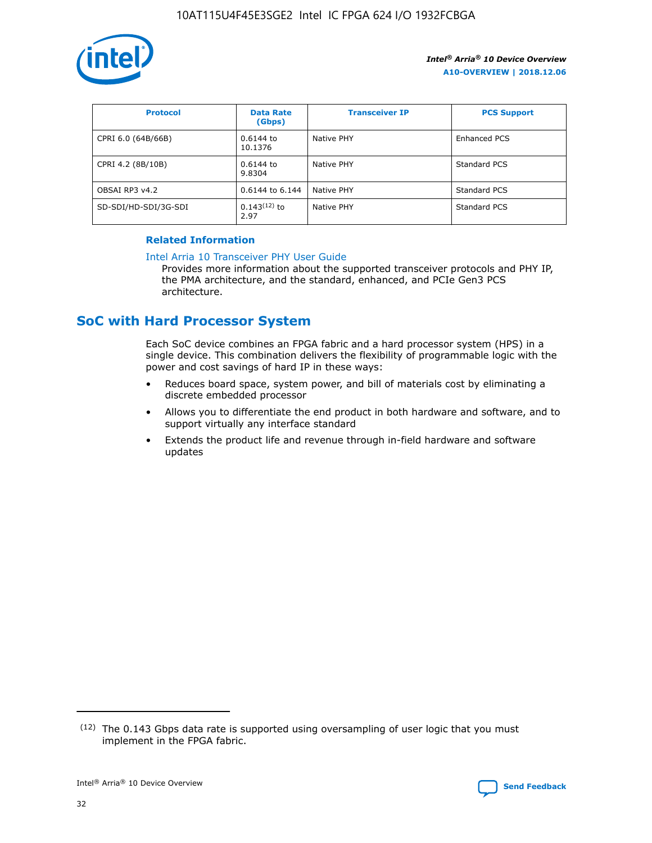

| <b>Protocol</b>      | <b>Data Rate</b><br>(Gbps) | <b>Transceiver IP</b> | <b>PCS Support</b> |
|----------------------|----------------------------|-----------------------|--------------------|
| CPRI 6.0 (64B/66B)   | 0.6144 to<br>10.1376       | Native PHY            | Enhanced PCS       |
| CPRI 4.2 (8B/10B)    | 0.6144 to<br>9.8304        | Native PHY            | Standard PCS       |
| OBSAI RP3 v4.2       | 0.6144 to 6.144            | Native PHY            | Standard PCS       |
| SD-SDI/HD-SDI/3G-SDI | $0.143(12)$ to<br>2.97     | Native PHY            | Standard PCS       |

## **Related Information**

#### [Intel Arria 10 Transceiver PHY User Guide](https://www.intel.com/content/www/us/en/programmable/documentation/nik1398707230472.html#nik1398707091164)

Provides more information about the supported transceiver protocols and PHY IP, the PMA architecture, and the standard, enhanced, and PCIe Gen3 PCS architecture.

## **SoC with Hard Processor System**

Each SoC device combines an FPGA fabric and a hard processor system (HPS) in a single device. This combination delivers the flexibility of programmable logic with the power and cost savings of hard IP in these ways:

- Reduces board space, system power, and bill of materials cost by eliminating a discrete embedded processor
- Allows you to differentiate the end product in both hardware and software, and to support virtually any interface standard
- Extends the product life and revenue through in-field hardware and software updates

 $(12)$  The 0.143 Gbps data rate is supported using oversampling of user logic that you must implement in the FPGA fabric.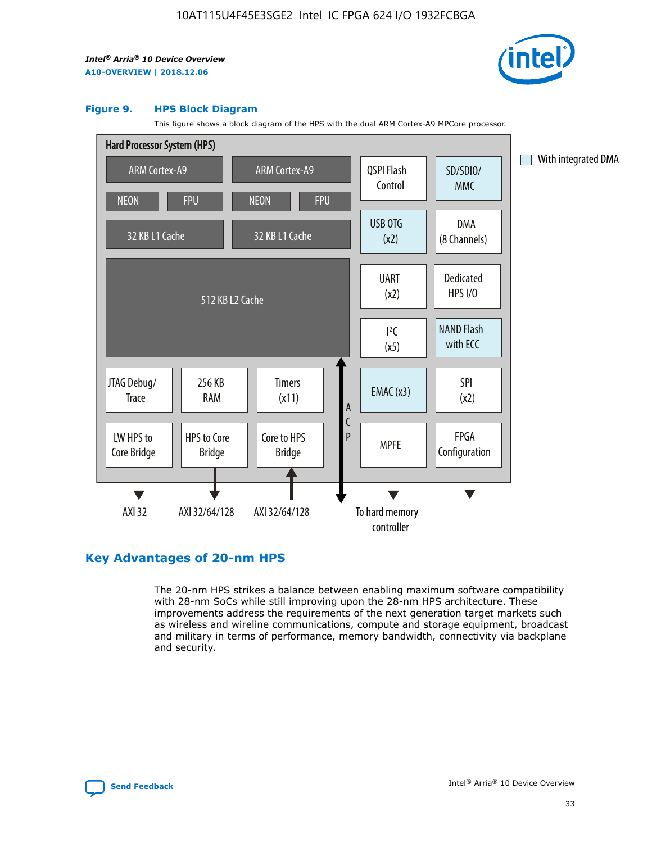

#### **Figure 9. HPS Block Diagram**

This figure shows a block diagram of the HPS with the dual ARM Cortex-A9 MPCore processor.



## **Key Advantages of 20-nm HPS**

The 20-nm HPS strikes a balance between enabling maximum software compatibility with 28-nm SoCs while still improving upon the 28-nm HPS architecture. These improvements address the requirements of the next generation target markets such as wireless and wireline communications, compute and storage equipment, broadcast and military in terms of performance, memory bandwidth, connectivity via backplane and security.

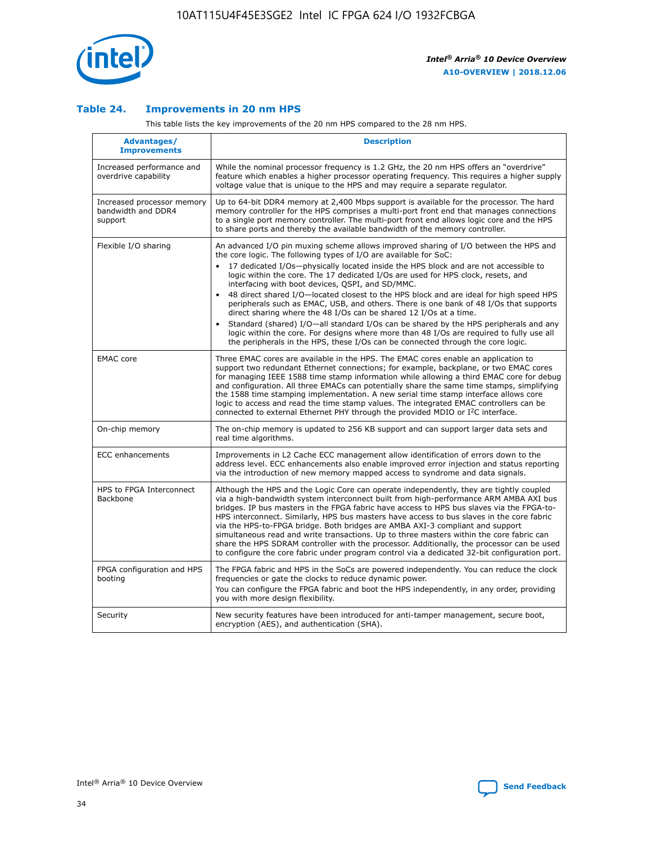

## **Table 24. Improvements in 20 nm HPS**

This table lists the key improvements of the 20 nm HPS compared to the 28 nm HPS.

| Advantages/<br><b>Improvements</b>                          | <b>Description</b>                                                                                                                                                                                                                                                                                                                                                                                                                                                                                                                                                                                                                                                                                                                                                                                                                                                                                                                   |
|-------------------------------------------------------------|--------------------------------------------------------------------------------------------------------------------------------------------------------------------------------------------------------------------------------------------------------------------------------------------------------------------------------------------------------------------------------------------------------------------------------------------------------------------------------------------------------------------------------------------------------------------------------------------------------------------------------------------------------------------------------------------------------------------------------------------------------------------------------------------------------------------------------------------------------------------------------------------------------------------------------------|
| Increased performance and<br>overdrive capability           | While the nominal processor frequency is 1.2 GHz, the 20 nm HPS offers an "overdrive"<br>feature which enables a higher processor operating frequency. This requires a higher supply<br>voltage value that is unique to the HPS and may require a separate regulator.                                                                                                                                                                                                                                                                                                                                                                                                                                                                                                                                                                                                                                                                |
| Increased processor memory<br>bandwidth and DDR4<br>support | Up to 64-bit DDR4 memory at 2,400 Mbps support is available for the processor. The hard<br>memory controller for the HPS comprises a multi-port front end that manages connections<br>to a single port memory controller. The multi-port front end allows logic core and the HPS<br>to share ports and thereby the available bandwidth of the memory controller.                                                                                                                                                                                                                                                                                                                                                                                                                                                                                                                                                                     |
| Flexible I/O sharing                                        | An advanced I/O pin muxing scheme allows improved sharing of I/O between the HPS and<br>the core logic. The following types of I/O are available for SoC:<br>17 dedicated I/Os-physically located inside the HPS block and are not accessible to<br>logic within the core. The 17 dedicated I/Os are used for HPS clock, resets, and<br>interfacing with boot devices, QSPI, and SD/MMC.<br>48 direct shared I/O-located closest to the HPS block and are ideal for high speed HPS<br>$\bullet$<br>peripherals such as EMAC, USB, and others. There is one bank of 48 I/Os that supports<br>direct sharing where the 48 I/Os can be shared 12 I/Os at a time.<br>Standard (shared) I/O-all standard I/Os can be shared by the HPS peripherals and any<br>logic within the core. For designs where more than 48 I/Os are reguired to fully use all<br>the peripherals in the HPS, these I/Os can be connected through the core logic. |
| <b>EMAC</b> core                                            | Three EMAC cores are available in the HPS. The EMAC cores enable an application to<br>support two redundant Ethernet connections; for example, backplane, or two EMAC cores<br>for managing IEEE 1588 time stamp information while allowing a third EMAC core for debug<br>and configuration. All three EMACs can potentially share the same time stamps, simplifying<br>the 1588 time stamping implementation. A new serial time stamp interface allows core<br>logic to access and read the time stamp values. The integrated EMAC controllers can be<br>connected to external Ethernet PHY through the provided MDIO or I <sup>2</sup> C interface.                                                                                                                                                                                                                                                                               |
| On-chip memory                                              | The on-chip memory is updated to 256 KB support and can support larger data sets and<br>real time algorithms.                                                                                                                                                                                                                                                                                                                                                                                                                                                                                                                                                                                                                                                                                                                                                                                                                        |
| <b>ECC</b> enhancements                                     | Improvements in L2 Cache ECC management allow identification of errors down to the<br>address level. ECC enhancements also enable improved error injection and status reporting<br>via the introduction of new memory mapped access to syndrome and data signals.                                                                                                                                                                                                                                                                                                                                                                                                                                                                                                                                                                                                                                                                    |
| HPS to FPGA Interconnect<br>Backbone                        | Although the HPS and the Logic Core can operate independently, they are tightly coupled<br>via a high-bandwidth system interconnect built from high-performance ARM AMBA AXI bus<br>bridges. IP bus masters in the FPGA fabric have access to HPS bus slaves via the FPGA-to-<br>HPS interconnect. Similarly, HPS bus masters have access to bus slaves in the core fabric<br>via the HPS-to-FPGA bridge. Both bridges are AMBA AXI-3 compliant and support<br>simultaneous read and write transactions. Up to three masters within the core fabric can<br>share the HPS SDRAM controller with the processor. Additionally, the processor can be used<br>to configure the core fabric under program control via a dedicated 32-bit configuration port.                                                                                                                                                                               |
| FPGA configuration and HPS<br>booting                       | The FPGA fabric and HPS in the SoCs are powered independently. You can reduce the clock<br>frequencies or gate the clocks to reduce dynamic power.<br>You can configure the FPGA fabric and boot the HPS independently, in any order, providing<br>you with more design flexibility.                                                                                                                                                                                                                                                                                                                                                                                                                                                                                                                                                                                                                                                 |
| Security                                                    | New security features have been introduced for anti-tamper management, secure boot,<br>encryption (AES), and authentication (SHA).                                                                                                                                                                                                                                                                                                                                                                                                                                                                                                                                                                                                                                                                                                                                                                                                   |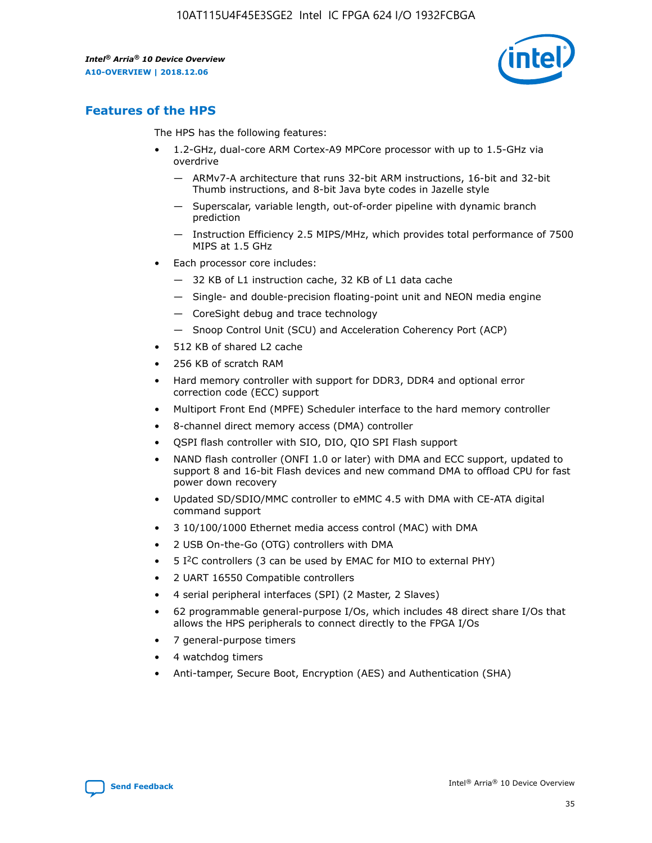

## **Features of the HPS**

The HPS has the following features:

- 1.2-GHz, dual-core ARM Cortex-A9 MPCore processor with up to 1.5-GHz via overdrive
	- ARMv7-A architecture that runs 32-bit ARM instructions, 16-bit and 32-bit Thumb instructions, and 8-bit Java byte codes in Jazelle style
	- Superscalar, variable length, out-of-order pipeline with dynamic branch prediction
	- Instruction Efficiency 2.5 MIPS/MHz, which provides total performance of 7500 MIPS at 1.5 GHz
- Each processor core includes:
	- 32 KB of L1 instruction cache, 32 KB of L1 data cache
	- Single- and double-precision floating-point unit and NEON media engine
	- CoreSight debug and trace technology
	- Snoop Control Unit (SCU) and Acceleration Coherency Port (ACP)
- 512 KB of shared L2 cache
- 256 KB of scratch RAM
- Hard memory controller with support for DDR3, DDR4 and optional error correction code (ECC) support
- Multiport Front End (MPFE) Scheduler interface to the hard memory controller
- 8-channel direct memory access (DMA) controller
- QSPI flash controller with SIO, DIO, QIO SPI Flash support
- NAND flash controller (ONFI 1.0 or later) with DMA and ECC support, updated to support 8 and 16-bit Flash devices and new command DMA to offload CPU for fast power down recovery
- Updated SD/SDIO/MMC controller to eMMC 4.5 with DMA with CE-ATA digital command support
- 3 10/100/1000 Ethernet media access control (MAC) with DMA
- 2 USB On-the-Go (OTG) controllers with DMA
- $\bullet$  5 I<sup>2</sup>C controllers (3 can be used by EMAC for MIO to external PHY)
- 2 UART 16550 Compatible controllers
- 4 serial peripheral interfaces (SPI) (2 Master, 2 Slaves)
- 62 programmable general-purpose I/Os, which includes 48 direct share I/Os that allows the HPS peripherals to connect directly to the FPGA I/Os
- 7 general-purpose timers
- 4 watchdog timers
- Anti-tamper, Secure Boot, Encryption (AES) and Authentication (SHA)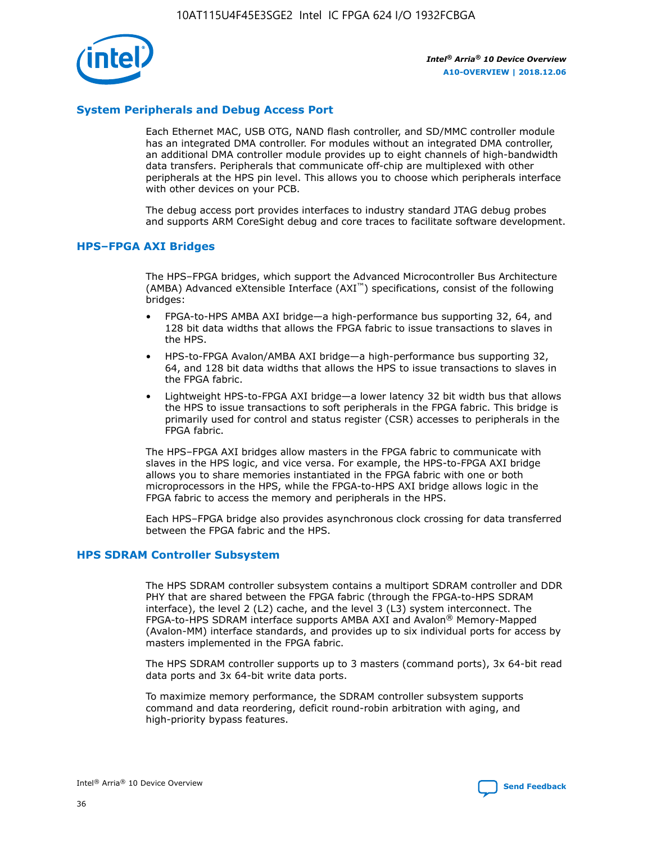

## **System Peripherals and Debug Access Port**

Each Ethernet MAC, USB OTG, NAND flash controller, and SD/MMC controller module has an integrated DMA controller. For modules without an integrated DMA controller, an additional DMA controller module provides up to eight channels of high-bandwidth data transfers. Peripherals that communicate off-chip are multiplexed with other peripherals at the HPS pin level. This allows you to choose which peripherals interface with other devices on your PCB.

The debug access port provides interfaces to industry standard JTAG debug probes and supports ARM CoreSight debug and core traces to facilitate software development.

## **HPS–FPGA AXI Bridges**

The HPS–FPGA bridges, which support the Advanced Microcontroller Bus Architecture (AMBA) Advanced eXtensible Interface (AXI™) specifications, consist of the following bridges:

- FPGA-to-HPS AMBA AXI bridge—a high-performance bus supporting 32, 64, and 128 bit data widths that allows the FPGA fabric to issue transactions to slaves in the HPS.
- HPS-to-FPGA Avalon/AMBA AXI bridge—a high-performance bus supporting 32, 64, and 128 bit data widths that allows the HPS to issue transactions to slaves in the FPGA fabric.
- Lightweight HPS-to-FPGA AXI bridge—a lower latency 32 bit width bus that allows the HPS to issue transactions to soft peripherals in the FPGA fabric. This bridge is primarily used for control and status register (CSR) accesses to peripherals in the FPGA fabric.

The HPS–FPGA AXI bridges allow masters in the FPGA fabric to communicate with slaves in the HPS logic, and vice versa. For example, the HPS-to-FPGA AXI bridge allows you to share memories instantiated in the FPGA fabric with one or both microprocessors in the HPS, while the FPGA-to-HPS AXI bridge allows logic in the FPGA fabric to access the memory and peripherals in the HPS.

Each HPS–FPGA bridge also provides asynchronous clock crossing for data transferred between the FPGA fabric and the HPS.

#### **HPS SDRAM Controller Subsystem**

The HPS SDRAM controller subsystem contains a multiport SDRAM controller and DDR PHY that are shared between the FPGA fabric (through the FPGA-to-HPS SDRAM interface), the level 2 (L2) cache, and the level 3 (L3) system interconnect. The FPGA-to-HPS SDRAM interface supports AMBA AXI and Avalon® Memory-Mapped (Avalon-MM) interface standards, and provides up to six individual ports for access by masters implemented in the FPGA fabric.

The HPS SDRAM controller supports up to 3 masters (command ports), 3x 64-bit read data ports and 3x 64-bit write data ports.

To maximize memory performance, the SDRAM controller subsystem supports command and data reordering, deficit round-robin arbitration with aging, and high-priority bypass features.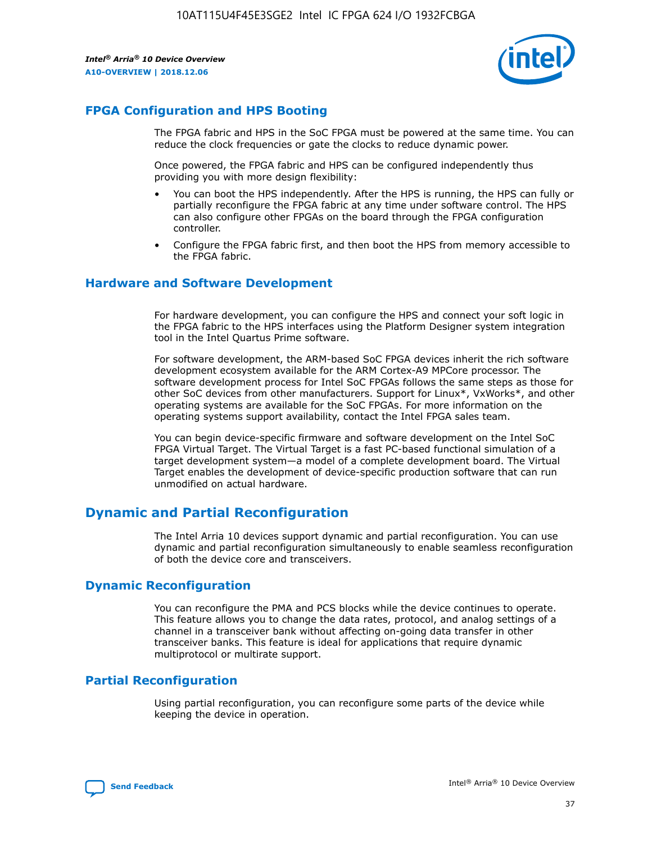

## **FPGA Configuration and HPS Booting**

The FPGA fabric and HPS in the SoC FPGA must be powered at the same time. You can reduce the clock frequencies or gate the clocks to reduce dynamic power.

Once powered, the FPGA fabric and HPS can be configured independently thus providing you with more design flexibility:

- You can boot the HPS independently. After the HPS is running, the HPS can fully or partially reconfigure the FPGA fabric at any time under software control. The HPS can also configure other FPGAs on the board through the FPGA configuration controller.
- Configure the FPGA fabric first, and then boot the HPS from memory accessible to the FPGA fabric.

## **Hardware and Software Development**

For hardware development, you can configure the HPS and connect your soft logic in the FPGA fabric to the HPS interfaces using the Platform Designer system integration tool in the Intel Quartus Prime software.

For software development, the ARM-based SoC FPGA devices inherit the rich software development ecosystem available for the ARM Cortex-A9 MPCore processor. The software development process for Intel SoC FPGAs follows the same steps as those for other SoC devices from other manufacturers. Support for Linux\*, VxWorks\*, and other operating systems are available for the SoC FPGAs. For more information on the operating systems support availability, contact the Intel FPGA sales team.

You can begin device-specific firmware and software development on the Intel SoC FPGA Virtual Target. The Virtual Target is a fast PC-based functional simulation of a target development system—a model of a complete development board. The Virtual Target enables the development of device-specific production software that can run unmodified on actual hardware.

## **Dynamic and Partial Reconfiguration**

The Intel Arria 10 devices support dynamic and partial reconfiguration. You can use dynamic and partial reconfiguration simultaneously to enable seamless reconfiguration of both the device core and transceivers.

## **Dynamic Reconfiguration**

You can reconfigure the PMA and PCS blocks while the device continues to operate. This feature allows you to change the data rates, protocol, and analog settings of a channel in a transceiver bank without affecting on-going data transfer in other transceiver banks. This feature is ideal for applications that require dynamic multiprotocol or multirate support.

## **Partial Reconfiguration**

Using partial reconfiguration, you can reconfigure some parts of the device while keeping the device in operation.

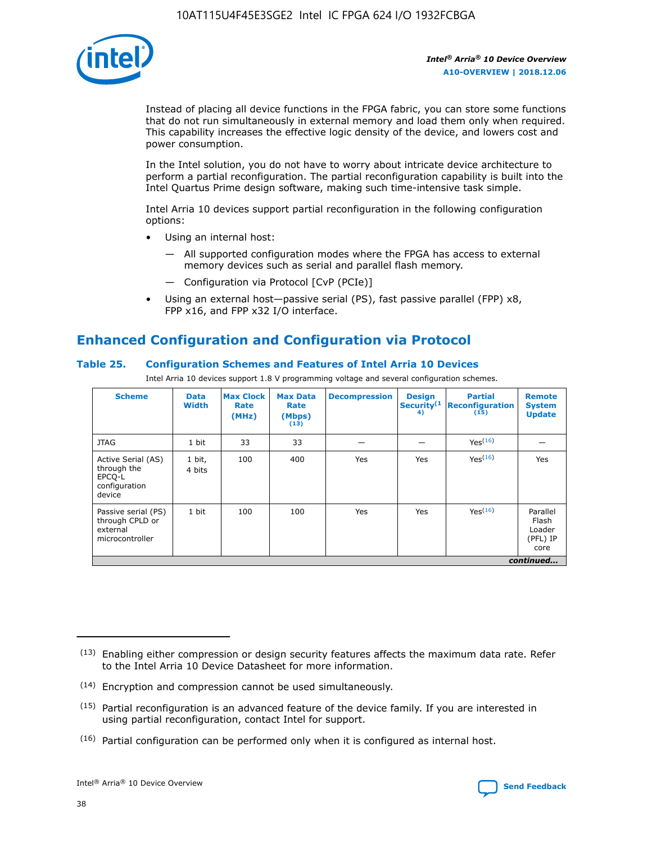

Instead of placing all device functions in the FPGA fabric, you can store some functions that do not run simultaneously in external memory and load them only when required. This capability increases the effective logic density of the device, and lowers cost and power consumption.

In the Intel solution, you do not have to worry about intricate device architecture to perform a partial reconfiguration. The partial reconfiguration capability is built into the Intel Quartus Prime design software, making such time-intensive task simple.

Intel Arria 10 devices support partial reconfiguration in the following configuration options:

- Using an internal host:
	- All supported configuration modes where the FPGA has access to external memory devices such as serial and parallel flash memory.
	- Configuration via Protocol [CvP (PCIe)]
- Using an external host—passive serial (PS), fast passive parallel (FPP) x8, FPP x16, and FPP x32 I/O interface.

# **Enhanced Configuration and Configuration via Protocol**

## **Table 25. Configuration Schemes and Features of Intel Arria 10 Devices**

Intel Arria 10 devices support 1.8 V programming voltage and several configuration schemes.

| <b>Scheme</b>                                                          | <b>Data</b><br><b>Width</b> | <b>Max Clock</b><br>Rate<br>(MHz) | <b>Max Data</b><br>Rate<br>(Mbps)<br>(13) | <b>Decompression</b> | <b>Design</b><br>Security <sup>(1</sup><br>4) | <b>Partial</b><br><b>Reconfiguration</b><br>(15) | <b>Remote</b><br><b>System</b><br><b>Update</b> |
|------------------------------------------------------------------------|-----------------------------|-----------------------------------|-------------------------------------------|----------------------|-----------------------------------------------|--------------------------------------------------|-------------------------------------------------|
| <b>JTAG</b>                                                            | 1 bit                       | 33                                | 33                                        |                      |                                               | Yes(16)                                          |                                                 |
| Active Serial (AS)<br>through the<br>EPCO-L<br>configuration<br>device | 1 bit,<br>4 bits            | 100                               | 400                                       | Yes                  | Yes                                           | $Y_{PS}(16)$                                     | Yes                                             |
| Passive serial (PS)<br>through CPLD or<br>external<br>microcontroller  | 1 bit                       | 100                               | 100                                       | Yes                  | Yes                                           | Yes(16)                                          | Parallel<br>Flash<br>Loader<br>(PFL) IP<br>core |
|                                                                        |                             |                                   |                                           |                      |                                               |                                                  | continued                                       |

<sup>(13)</sup> Enabling either compression or design security features affects the maximum data rate. Refer to the Intel Arria 10 Device Datasheet for more information.

<sup>(14)</sup> Encryption and compression cannot be used simultaneously.

 $(15)$  Partial reconfiguration is an advanced feature of the device family. If you are interested in using partial reconfiguration, contact Intel for support.

 $(16)$  Partial configuration can be performed only when it is configured as internal host.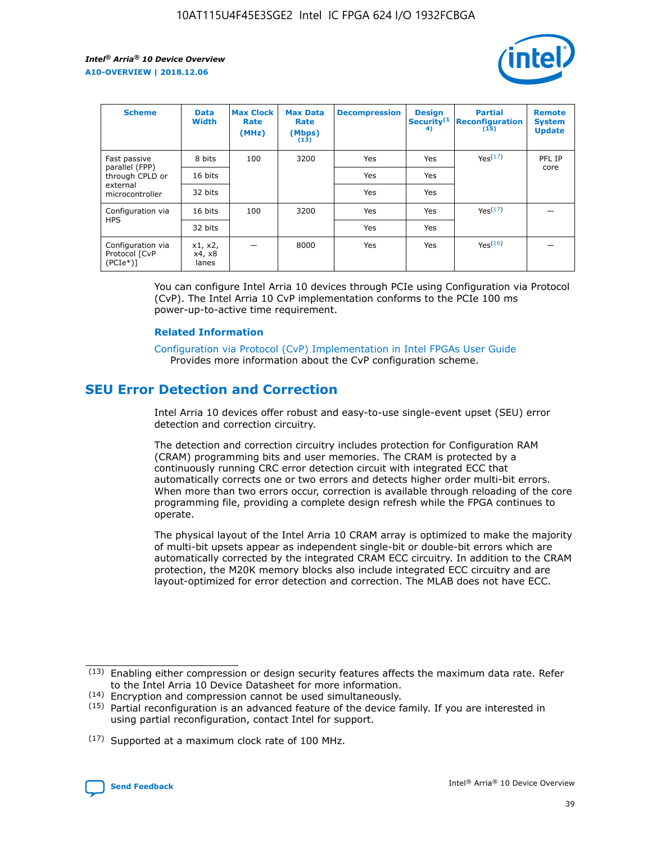

| <b>Scheme</b>                                   | <b>Data</b><br><b>Width</b> | <b>Max Clock</b><br>Rate<br>(MHz) | <b>Max Data</b><br>Rate<br>(Mbps)<br>(13) | <b>Decompression</b> | <b>Design</b><br>Security <sup>(1</sup><br>4) | <b>Partial</b><br><b>Reconfiguration</b><br>(15) | <b>Remote</b><br><b>System</b><br><b>Update</b> |
|-------------------------------------------------|-----------------------------|-----------------------------------|-------------------------------------------|----------------------|-----------------------------------------------|--------------------------------------------------|-------------------------------------------------|
| Fast passive                                    | 8 bits                      | 100                               | 3200                                      | Yes                  | Yes                                           | Yes(17)                                          | PFL IP                                          |
| parallel (FPP)<br>through CPLD or               | 16 bits                     |                                   |                                           | Yes                  | Yes                                           |                                                  | core                                            |
| external<br>microcontroller                     | 32 bits                     |                                   |                                           | Yes                  | Yes                                           |                                                  |                                                 |
| Configuration via                               | 16 bits                     | 100                               | 3200                                      | Yes                  | Yes                                           | Yes <sup>(17)</sup>                              |                                                 |
| <b>HPS</b>                                      | 32 bits                     |                                   |                                           | Yes                  | Yes                                           |                                                  |                                                 |
| Configuration via<br>Protocol [CvP<br>$(PCIe*)$ | x1, x2,<br>x4, x8<br>lanes  |                                   | 8000                                      | Yes                  | Yes                                           | Yes(16)                                          |                                                 |

You can configure Intel Arria 10 devices through PCIe using Configuration via Protocol (CvP). The Intel Arria 10 CvP implementation conforms to the PCIe 100 ms power-up-to-active time requirement.

#### **Related Information**

[Configuration via Protocol \(CvP\) Implementation in Intel FPGAs User Guide](https://www.intel.com/content/www/us/en/programmable/documentation/dsu1441819344145.html#dsu1442269728522) Provides more information about the CvP configuration scheme.

## **SEU Error Detection and Correction**

Intel Arria 10 devices offer robust and easy-to-use single-event upset (SEU) error detection and correction circuitry.

The detection and correction circuitry includes protection for Configuration RAM (CRAM) programming bits and user memories. The CRAM is protected by a continuously running CRC error detection circuit with integrated ECC that automatically corrects one or two errors and detects higher order multi-bit errors. When more than two errors occur, correction is available through reloading of the core programming file, providing a complete design refresh while the FPGA continues to operate.

The physical layout of the Intel Arria 10 CRAM array is optimized to make the majority of multi-bit upsets appear as independent single-bit or double-bit errors which are automatically corrected by the integrated CRAM ECC circuitry. In addition to the CRAM protection, the M20K memory blocks also include integrated ECC circuitry and are layout-optimized for error detection and correction. The MLAB does not have ECC.

(14) Encryption and compression cannot be used simultaneously.

<sup>(17)</sup> Supported at a maximum clock rate of 100 MHz.



 $(13)$  Enabling either compression or design security features affects the maximum data rate. Refer to the Intel Arria 10 Device Datasheet for more information.

 $(15)$  Partial reconfiguration is an advanced feature of the device family. If you are interested in using partial reconfiguration, contact Intel for support.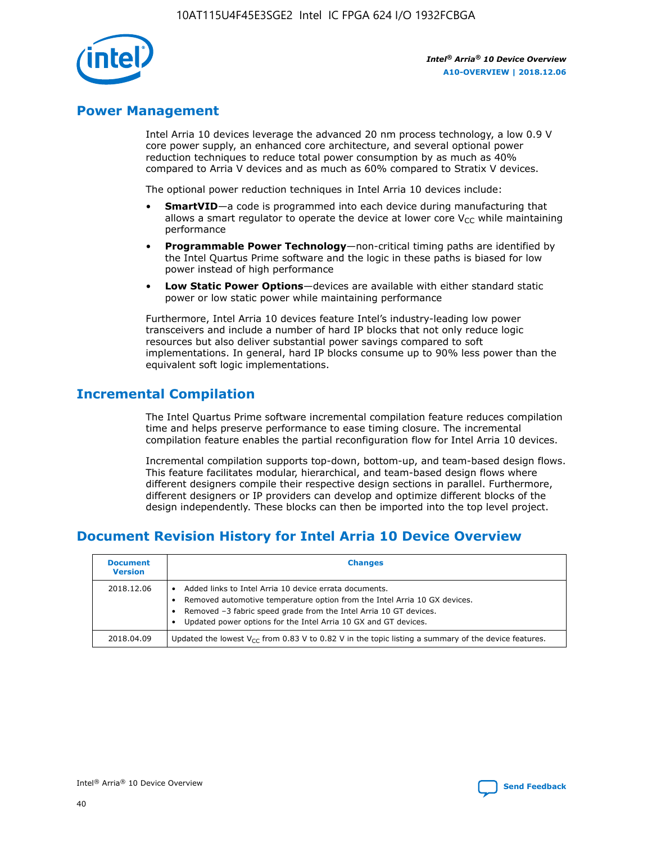

## **Power Management**

Intel Arria 10 devices leverage the advanced 20 nm process technology, a low 0.9 V core power supply, an enhanced core architecture, and several optional power reduction techniques to reduce total power consumption by as much as 40% compared to Arria V devices and as much as 60% compared to Stratix V devices.

The optional power reduction techniques in Intel Arria 10 devices include:

- **SmartVID**—a code is programmed into each device during manufacturing that allows a smart regulator to operate the device at lower core  $V_{CC}$  while maintaining performance
- **Programmable Power Technology**—non-critical timing paths are identified by the Intel Quartus Prime software and the logic in these paths is biased for low power instead of high performance
- **Low Static Power Options**—devices are available with either standard static power or low static power while maintaining performance

Furthermore, Intel Arria 10 devices feature Intel's industry-leading low power transceivers and include a number of hard IP blocks that not only reduce logic resources but also deliver substantial power savings compared to soft implementations. In general, hard IP blocks consume up to 90% less power than the equivalent soft logic implementations.

## **Incremental Compilation**

The Intel Quartus Prime software incremental compilation feature reduces compilation time and helps preserve performance to ease timing closure. The incremental compilation feature enables the partial reconfiguration flow for Intel Arria 10 devices.

Incremental compilation supports top-down, bottom-up, and team-based design flows. This feature facilitates modular, hierarchical, and team-based design flows where different designers compile their respective design sections in parallel. Furthermore, different designers or IP providers can develop and optimize different blocks of the design independently. These blocks can then be imported into the top level project.

# **Document Revision History for Intel Arria 10 Device Overview**

| <b>Document</b><br><b>Version</b> | <b>Changes</b>                                                                                                                                                                                                                                                              |
|-----------------------------------|-----------------------------------------------------------------------------------------------------------------------------------------------------------------------------------------------------------------------------------------------------------------------------|
| 2018.12.06                        | Added links to Intel Arria 10 device errata documents.<br>Removed automotive temperature option from the Intel Arria 10 GX devices.<br>Removed -3 fabric speed grade from the Intel Arria 10 GT devices.<br>Updated power options for the Intel Arria 10 GX and GT devices. |
| 2018.04.09                        | Updated the lowest $V_{CC}$ from 0.83 V to 0.82 V in the topic listing a summary of the device features.                                                                                                                                                                    |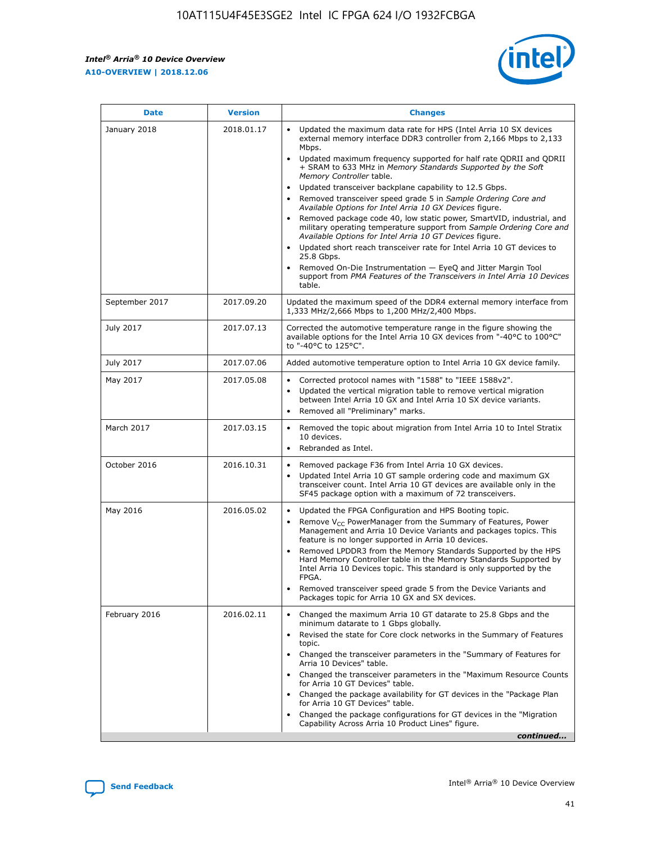*Intel® Arria® 10 Device Overview* **A10-OVERVIEW | 2018.12.06**



| <b>Date</b>    | <b>Version</b> | <b>Changes</b>                                                                                                                                                                                                                                                                                                                                                                                                                                                                                                                                                                                                                                                                                                                                                                                                                                                                                                                                                                         |
|----------------|----------------|----------------------------------------------------------------------------------------------------------------------------------------------------------------------------------------------------------------------------------------------------------------------------------------------------------------------------------------------------------------------------------------------------------------------------------------------------------------------------------------------------------------------------------------------------------------------------------------------------------------------------------------------------------------------------------------------------------------------------------------------------------------------------------------------------------------------------------------------------------------------------------------------------------------------------------------------------------------------------------------|
| January 2018   | 2018.01.17     | Updated the maximum data rate for HPS (Intel Arria 10 SX devices<br>external memory interface DDR3 controller from 2,166 Mbps to 2,133<br>Mbps.<br>Updated maximum frequency supported for half rate QDRII and QDRII<br>+ SRAM to 633 MHz in Memory Standards Supported by the Soft<br>Memory Controller table.<br>Updated transceiver backplane capability to 12.5 Gbps.<br>$\bullet$<br>Removed transceiver speed grade 5 in Sample Ordering Core and<br>$\bullet$<br>Available Options for Intel Arria 10 GX Devices figure.<br>Removed package code 40, low static power, SmartVID, industrial, and<br>military operating temperature support from Sample Ordering Core and<br>Available Options for Intel Arria 10 GT Devices figure.<br>Updated short reach transceiver rate for Intel Arria 10 GT devices to<br>25.8 Gbps.<br>Removed On-Die Instrumentation - EyeQ and Jitter Margin Tool<br>support from PMA Features of the Transceivers in Intel Arria 10 Devices<br>table. |
| September 2017 | 2017.09.20     | Updated the maximum speed of the DDR4 external memory interface from<br>1,333 MHz/2,666 Mbps to 1,200 MHz/2,400 Mbps.                                                                                                                                                                                                                                                                                                                                                                                                                                                                                                                                                                                                                                                                                                                                                                                                                                                                  |
| July 2017      | 2017.07.13     | Corrected the automotive temperature range in the figure showing the<br>available options for the Intel Arria 10 GX devices from "-40°C to 100°C"<br>to "-40°C to 125°C".                                                                                                                                                                                                                                                                                                                                                                                                                                                                                                                                                                                                                                                                                                                                                                                                              |
| July 2017      | 2017.07.06     | Added automotive temperature option to Intel Arria 10 GX device family.                                                                                                                                                                                                                                                                                                                                                                                                                                                                                                                                                                                                                                                                                                                                                                                                                                                                                                                |
| May 2017       | 2017.05.08     | Corrected protocol names with "1588" to "IEEE 1588v2".<br>$\bullet$<br>Updated the vertical migration table to remove vertical migration<br>$\bullet$<br>between Intel Arria 10 GX and Intel Arria 10 SX device variants.<br>Removed all "Preliminary" marks.<br>$\bullet$                                                                                                                                                                                                                                                                                                                                                                                                                                                                                                                                                                                                                                                                                                             |
| March 2017     | 2017.03.15     | Removed the topic about migration from Intel Arria 10 to Intel Stratix<br>$\bullet$<br>10 devices.<br>Rebranded as Intel.<br>$\bullet$                                                                                                                                                                                                                                                                                                                                                                                                                                                                                                                                                                                                                                                                                                                                                                                                                                                 |
| October 2016   | 2016.10.31     | Removed package F36 from Intel Arria 10 GX devices.<br>Updated Intel Arria 10 GT sample ordering code and maximum GX<br>$\bullet$<br>transceiver count. Intel Arria 10 GT devices are available only in the<br>SF45 package option with a maximum of 72 transceivers.                                                                                                                                                                                                                                                                                                                                                                                                                                                                                                                                                                                                                                                                                                                  |
| May 2016       | 2016.05.02     | Updated the FPGA Configuration and HPS Booting topic.<br>$\bullet$<br>Remove V <sub>CC</sub> PowerManager from the Summary of Features, Power<br>Management and Arria 10 Device Variants and packages topics. This<br>feature is no longer supported in Arria 10 devices.<br>Removed LPDDR3 from the Memory Standards Supported by the HPS<br>Hard Memory Controller table in the Memory Standards Supported by<br>Intel Arria 10 Devices topic. This standard is only supported by the<br>FPGA.<br>Removed transceiver speed grade 5 from the Device Variants and<br>Packages topic for Arria 10 GX and SX devices.                                                                                                                                                                                                                                                                                                                                                                   |
| February 2016  | 2016.02.11     | Changed the maximum Arria 10 GT datarate to 25.8 Gbps and the<br>minimum datarate to 1 Gbps globally.<br>Revised the state for Core clock networks in the Summary of Features<br>$\bullet$<br>topic.<br>Changed the transceiver parameters in the "Summary of Features for<br>$\bullet$<br>Arria 10 Devices" table.<br>• Changed the transceiver parameters in the "Maximum Resource Counts<br>for Arria 10 GT Devices" table.<br>Changed the package availability for GT devices in the "Package Plan<br>for Arria 10 GT Devices" table.<br>Changed the package configurations for GT devices in the "Migration"<br>Capability Across Arria 10 Product Lines" figure.<br>continued                                                                                                                                                                                                                                                                                                    |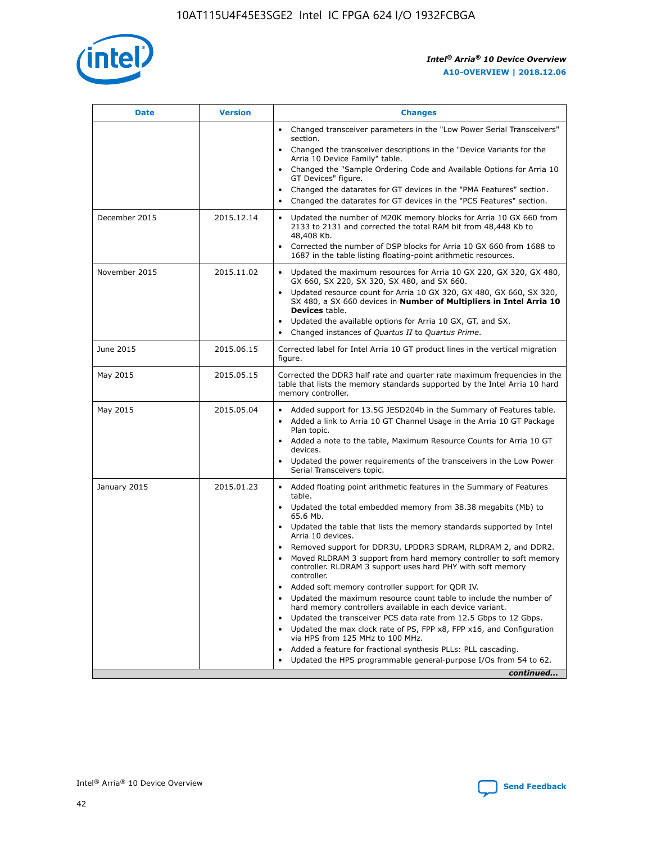

| <b>Date</b>   | <b>Version</b> | <b>Changes</b>                                                                                                                                                               |
|---------------|----------------|------------------------------------------------------------------------------------------------------------------------------------------------------------------------------|
|               |                | • Changed transceiver parameters in the "Low Power Serial Transceivers"<br>section.                                                                                          |
|               |                | • Changed the transceiver descriptions in the "Device Variants for the<br>Arria 10 Device Family" table.                                                                     |
|               |                | Changed the "Sample Ordering Code and Available Options for Arria 10<br>$\bullet$<br>GT Devices" figure.                                                                     |
|               |                | Changed the datarates for GT devices in the "PMA Features" section.                                                                                                          |
|               |                | Changed the datarates for GT devices in the "PCS Features" section.<br>$\bullet$                                                                                             |
| December 2015 | 2015.12.14     | Updated the number of M20K memory blocks for Arria 10 GX 660 from<br>2133 to 2131 and corrected the total RAM bit from 48,448 Kb to<br>48,408 Kb.                            |
|               |                | Corrected the number of DSP blocks for Arria 10 GX 660 from 1688 to<br>1687 in the table listing floating-point arithmetic resources.                                        |
| November 2015 | 2015.11.02     | Updated the maximum resources for Arria 10 GX 220, GX 320, GX 480,<br>$\bullet$<br>GX 660, SX 220, SX 320, SX 480, and SX 660.                                               |
|               |                | • Updated resource count for Arria 10 GX 320, GX 480, GX 660, SX 320,<br>SX 480, a SX 660 devices in Number of Multipliers in Intel Arria 10<br><b>Devices</b> table.        |
|               |                | Updated the available options for Arria 10 GX, GT, and SX.                                                                                                                   |
|               |                | Changed instances of Quartus II to Quartus Prime.<br>$\bullet$                                                                                                               |
| June 2015     | 2015.06.15     | Corrected label for Intel Arria 10 GT product lines in the vertical migration<br>figure.                                                                                     |
| May 2015      | 2015.05.15     | Corrected the DDR3 half rate and quarter rate maximum frequencies in the<br>table that lists the memory standards supported by the Intel Arria 10 hard<br>memory controller. |
| May 2015      | 2015.05.04     | • Added support for 13.5G JESD204b in the Summary of Features table.                                                                                                         |
|               |                | • Added a link to Arria 10 GT Channel Usage in the Arria 10 GT Package<br>Plan topic.                                                                                        |
|               |                | • Added a note to the table, Maximum Resource Counts for Arria 10 GT<br>devices.                                                                                             |
|               |                | • Updated the power requirements of the transceivers in the Low Power<br>Serial Transceivers topic.                                                                          |
| January 2015  | 2015.01.23     | • Added floating point arithmetic features in the Summary of Features<br>table.                                                                                              |
|               |                | • Updated the total embedded memory from 38.38 megabits (Mb) to<br>65.6 Mb.                                                                                                  |
|               |                | • Updated the table that lists the memory standards supported by Intel<br>Arria 10 devices.                                                                                  |
|               |                | Removed support for DDR3U, LPDDR3 SDRAM, RLDRAM 2, and DDR2.                                                                                                                 |
|               |                | Moved RLDRAM 3 support from hard memory controller to soft memory<br>controller. RLDRAM 3 support uses hard PHY with soft memory<br>controller.                              |
|               |                | Added soft memory controller support for QDR IV.<br>٠                                                                                                                        |
|               |                | Updated the maximum resource count table to include the number of<br>hard memory controllers available in each device variant.                                               |
|               |                | Updated the transceiver PCS data rate from 12.5 Gbps to 12 Gbps.<br>$\bullet$                                                                                                |
|               |                | Updated the max clock rate of PS, FPP x8, FPP x16, and Configuration<br>via HPS from 125 MHz to 100 MHz.                                                                     |
|               |                | Added a feature for fractional synthesis PLLs: PLL cascading.                                                                                                                |
|               |                | Updated the HPS programmable general-purpose I/Os from 54 to 62.<br>$\bullet$                                                                                                |
|               |                | continued                                                                                                                                                                    |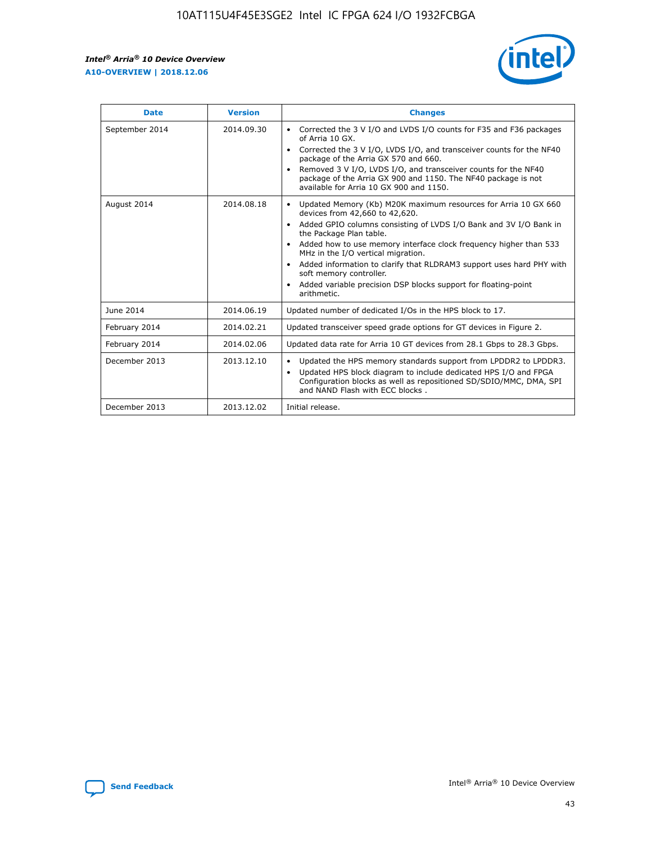

| <b>Date</b>    | <b>Version</b> | <b>Changes</b>                                                                                                                                                                                                                                                                                                                                                                                                                                                                                                                                                   |
|----------------|----------------|------------------------------------------------------------------------------------------------------------------------------------------------------------------------------------------------------------------------------------------------------------------------------------------------------------------------------------------------------------------------------------------------------------------------------------------------------------------------------------------------------------------------------------------------------------------|
| September 2014 | 2014.09.30     | Corrected the 3 V I/O and LVDS I/O counts for F35 and F36 packages<br>$\bullet$<br>of Arria 10 GX.<br>Corrected the 3 V I/O, LVDS I/O, and transceiver counts for the NF40<br>$\bullet$<br>package of the Arria GX 570 and 660.<br>Removed 3 V I/O, LVDS I/O, and transceiver counts for the NF40<br>$\bullet$<br>package of the Arria GX 900 and 1150. The NF40 package is not<br>available for Arria 10 GX 900 and 1150.                                                                                                                                       |
| August 2014    | 2014.08.18     | Updated Memory (Kb) M20K maximum resources for Arria 10 GX 660<br>$\bullet$<br>devices from 42,660 to 42,620.<br>Added GPIO columns consisting of LVDS I/O Bank and 3V I/O Bank in<br>$\bullet$<br>the Package Plan table.<br>Added how to use memory interface clock frequency higher than 533<br>$\bullet$<br>MHz in the I/O vertical migration.<br>Added information to clarify that RLDRAM3 support uses hard PHY with<br>$\bullet$<br>soft memory controller.<br>Added variable precision DSP blocks support for floating-point<br>$\bullet$<br>arithmetic. |
| June 2014      | 2014.06.19     | Updated number of dedicated I/Os in the HPS block to 17.                                                                                                                                                                                                                                                                                                                                                                                                                                                                                                         |
| February 2014  | 2014.02.21     | Updated transceiver speed grade options for GT devices in Figure 2.                                                                                                                                                                                                                                                                                                                                                                                                                                                                                              |
| February 2014  | 2014.02.06     | Updated data rate for Arria 10 GT devices from 28.1 Gbps to 28.3 Gbps.                                                                                                                                                                                                                                                                                                                                                                                                                                                                                           |
| December 2013  | 2013.12.10     | Updated the HPS memory standards support from LPDDR2 to LPDDR3.<br>$\bullet$<br>Updated HPS block diagram to include dedicated HPS I/O and FPGA<br>$\bullet$<br>Configuration blocks as well as repositioned SD/SDIO/MMC, DMA, SPI<br>and NAND Flash with ECC blocks.                                                                                                                                                                                                                                                                                            |
| December 2013  | 2013.12.02     | Initial release.                                                                                                                                                                                                                                                                                                                                                                                                                                                                                                                                                 |